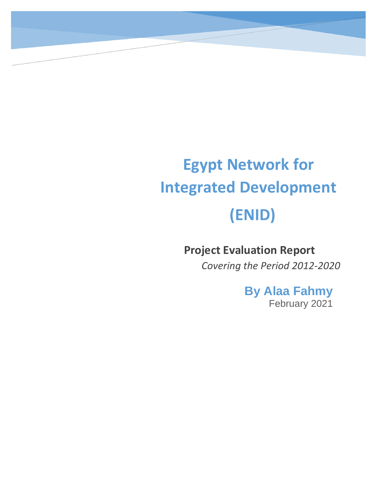# **Egypt Network for Integrated Development (ENID)**

# **Project Evaluation Report**

*Covering the Period 2012-2020*

**By Alaa Fahmy** February 2021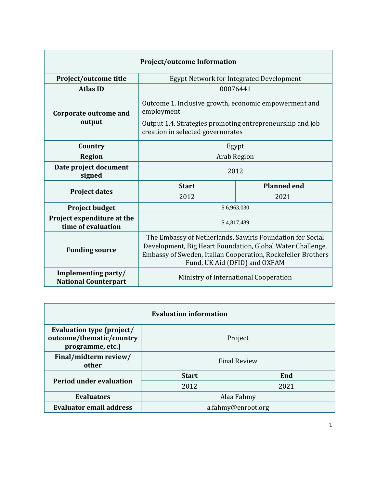| <b>Project/outcome Information</b>                 |                                                                                                                                                                                                                          |                                          |  |  |
|----------------------------------------------------|--------------------------------------------------------------------------------------------------------------------------------------------------------------------------------------------------------------------------|------------------------------------------|--|--|
| Project/outcome title                              |                                                                                                                                                                                                                          | Egypt Network for Integrated Development |  |  |
| <b>Atlas ID</b>                                    |                                                                                                                                                                                                                          | 00076441                                 |  |  |
| <b>Corporate outcome and</b><br>output             | Outcome 1. Inclusive growth, economic empowerment and<br>employment<br>Output 1.4. Strategies promoting entrepreneurship and job<br>creation in selected governorates                                                    |                                          |  |  |
| Country                                            | Egypt                                                                                                                                                                                                                    |                                          |  |  |
| <b>Region</b>                                      | <b>Arab Region</b>                                                                                                                                                                                                       |                                          |  |  |
| Date project document<br>signed                    | 2012                                                                                                                                                                                                                     |                                          |  |  |
|                                                    | <b>Start</b>                                                                                                                                                                                                             | <b>Planned end</b>                       |  |  |
| <b>Project dates</b>                               | 2012                                                                                                                                                                                                                     | 2021                                     |  |  |
| <b>Project budget</b>                              |                                                                                                                                                                                                                          | \$6,963,030                              |  |  |
| Project expenditure at the<br>time of evaluation   | \$4,817,489                                                                                                                                                                                                              |                                          |  |  |
| <b>Funding source</b>                              | The Embassy of Netherlands, Sawiris Foundation for Social<br>Development, Big Heart Foundation, Global Water Challenge,<br>Embassy of Sweden, Italian Cooperation, Rockefeller Brothers<br>Fund, UK Aid (DFID) and OXFAM |                                          |  |  |
| Implementing party/<br><b>National Counterpart</b> | Ministry of International Cooperation                                                                                                                                                                                    |                                          |  |  |

| <b>Evaluation information</b>                                             |                     |      |  |
|---------------------------------------------------------------------------|---------------------|------|--|
| Evaluation type (project/<br>outcome/thematic/country<br>programme, etc.) | Project             |      |  |
| Final/midterm review/<br>other                                            | <b>Final Review</b> |      |  |
|                                                                           | <b>Start</b>        | End  |  |
| <b>Period under evaluation</b>                                            | 2012                | 2021 |  |
| <b>Evaluators</b>                                                         | Alaa Fahmy          |      |  |
| <b>Evaluator email address</b>                                            | a.fahmy@enroot.org  |      |  |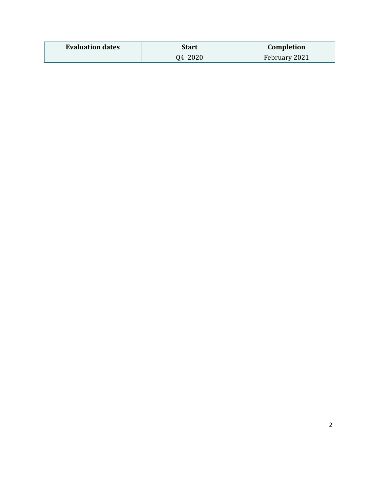| <b>Evaluation dates</b> | Start   | Completion    |
|-------------------------|---------|---------------|
|                         | Q4 2020 | February 2021 |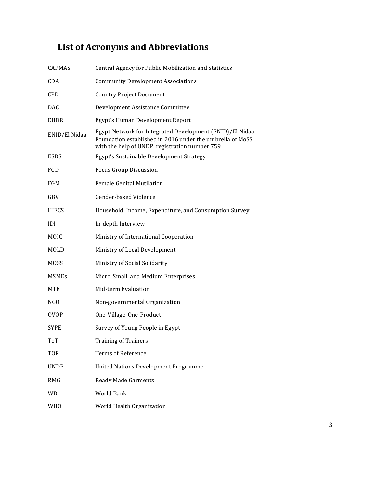# <span id="page-3-0"></span>**List of Acronyms and Abbreviations**

| <b>CAPMAS</b> | Central Agency for Public Mobilization and Statistics                                                                                                                    |
|---------------|--------------------------------------------------------------------------------------------------------------------------------------------------------------------------|
| <b>CDA</b>    | <b>Community Development Associations</b>                                                                                                                                |
| <b>CPD</b>    | <b>Country Project Document</b>                                                                                                                                          |
| <b>DAC</b>    | Development Assistance Committee                                                                                                                                         |
| EHDR          | Egypt's Human Development Report                                                                                                                                         |
| ENID/El Nidaa | Egypt Network for Integrated Development (ENID)/El Nidaa<br>Foundation established in 2016 under the umbrella of MoSS,<br>with the help of UNDP, registration number 759 |
| <b>ESDS</b>   | Egypt's Sustainable Development Strategy                                                                                                                                 |
| FGD           | <b>Focus Group Discussion</b>                                                                                                                                            |
| FGM           | <b>Female Genital Mutilation</b>                                                                                                                                         |
| GBV           | Gender-based Violence                                                                                                                                                    |
| <b>HIECS</b>  | Household, Income, Expenditure, and Consumption Survey                                                                                                                   |
| IDI           | In-depth Interview                                                                                                                                                       |
| MOIC          | Ministry of International Cooperation                                                                                                                                    |
| MOLD          | Ministry of Local Development                                                                                                                                            |
| <b>MOSS</b>   | Ministry of Social Solidarity                                                                                                                                            |
| <b>MSMEs</b>  | Micro, Small, and Medium Enterprises                                                                                                                                     |
| MTE           | Mid-term Evaluation                                                                                                                                                      |
| NGO           | Non-governmental Organization                                                                                                                                            |
| <b>OVOP</b>   | One-Village-One-Product                                                                                                                                                  |
| SYPE          | Survey of Young People in Egypt                                                                                                                                          |
| ToT           | <b>Training of Trainers</b>                                                                                                                                              |
| <b>TOR</b>    | <b>Terms of Reference</b>                                                                                                                                                |
| <b>UNDP</b>   | <b>United Nations Development Programme</b>                                                                                                                              |
| <b>RMG</b>    | <b>Ready Made Garments</b>                                                                                                                                               |
| WB            | World Bank                                                                                                                                                               |
| <b>WHO</b>    | World Health Organization                                                                                                                                                |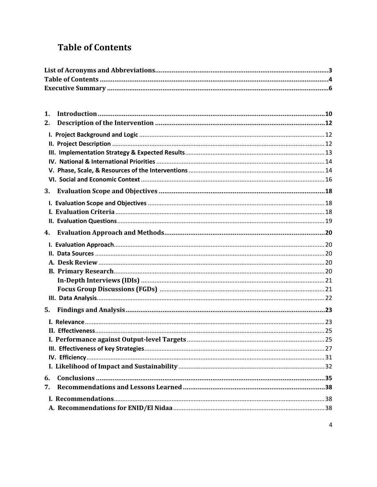# <span id="page-4-0"></span>**Table of Contents**

| 1. |  |
|----|--|
| 2. |  |
|    |  |
|    |  |
|    |  |
|    |  |
|    |  |
|    |  |
| 3. |  |
|    |  |
|    |  |
|    |  |
| 4. |  |
|    |  |
|    |  |
|    |  |
|    |  |
|    |  |
|    |  |
|    |  |
| 5. |  |
|    |  |
|    |  |
|    |  |
|    |  |
|    |  |
|    |  |
| 6. |  |
| 7. |  |
|    |  |
|    |  |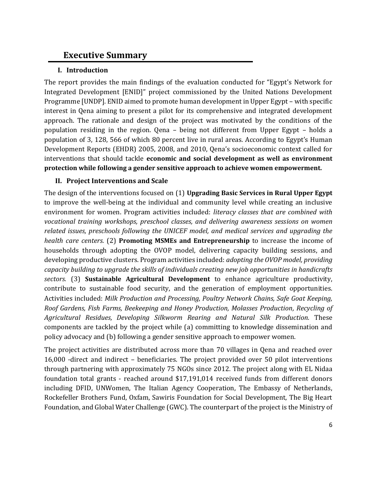### <span id="page-6-0"></span>**Executive Summary**

#### **I. Introduction**

The report provides the main findings of the evaluation conducted for "Egypt's Network for Integrated Development [ENID]" project commissioned by the United Nations Development Programme [UNDP]. ENID aimed to promote human development in Upper Egypt – with specific interest in Qena aiming to present a pilot for its comprehensive and integrated development approach. The rationale and design of the project was motivated by the conditions of the population residing in the region. Qena – being not different from Upper Egypt – holds a population of 3, 128, 566 of which 80 percent live in rural areas. According to Egypt's Human Development Reports (EHDR) 2005, 2008, and 2010, Qena's socioeconomic context called for interventions that should tackle **economic and social development as well as environment protection while following a gender sensitive approach to achieve women empowerment.**

#### **II. Project Interventions and Scale**

The design of the interventions focused on (1) **Upgrading Basic Services in Rural Upper Egypt** to improve the well-being at the individual and community level while creating an inclusive environment for women. Program activities included: *literacy classes that are combined with vocational training workshops, preschool classes, and delivering awareness sessions on women related issues, preschools following the UNICEF model, and medical services and upgrading the health care centers.* (2) **Promoting MSMEs and Entrepreneurship** to increase the income of households through adopting the OVOP model, delivering capacity building sessions, and developing productive clusters. Program activities included: *adopting the OVOP model, providing capacity building to upgrade the skills of individuals creating new job opportunities in handicrafts sectors.* (3) **Sustainable Agricultural Development** to enhance agriculture productivity, contribute to sustainable food security, and the generation of employment opportunities. Activities included: *Milk Production and Processing, Poultry Network Chains, Safe Goat Keeping, Roof Gardens, Fish Farms, Beekeeping and Honey Production, Molasses Production, Recycling of Agricultural Residues, Developing Silkworm Rearing and Natural Silk Production.* These components are tackled by the project while (a) committing to knowledge dissemination and policy advocacy and (b) following a gender sensitive approach to empower women.

The project activities are distributed across more than 70 villages in Qena and reached over 16,000 -direct and indirect – beneficiaries. The project provided over 50 pilot interventions through partnering with approximately 75 NGOs since 2012. The project along with EL Nidaa foundation total grants - reached around \$17,191,014 received funds from different donors including DFID, UNWomen, The Italian Agency Cooperation, The Embassy of Netherlands, Rockefeller Brothers Fund, Oxfam, Sawiris Foundation for Social Development, The Big Heart Foundation, and Global Water Challenge (GWC). The counterpart of the project is the Ministry of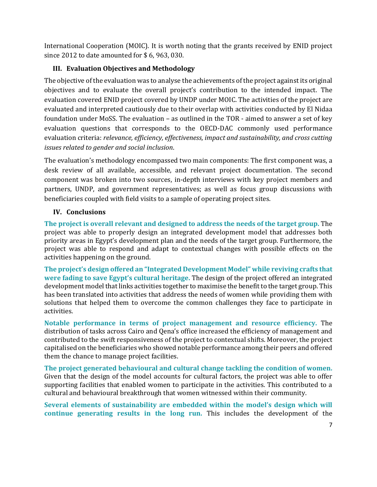International Cooperation (MOIC). It is worth noting that the grants received by ENID project since 2012 to date amounted for \$ 6, 963, 030.

#### **III. Evaluation Objectives and Methodology**

The objective of the evaluation was to analyse the achievements of the project against its original objectives and to evaluate the overall project's contribution to the intended impact. The evaluation covered ENID project covered by UNDP under MOIC. The activities of the project are evaluated and interpreted cautiously due to their overlap with activities conducted by El Nidaa foundation under MoSS. The evaluation – as outlined in the TOR - aimed to answer a set of key evaluation questions that corresponds to the OECD-DAC commonly used performance evaluation criteria: *relevance, efficiency, effectiveness, impact and sustainability, and cross cutting issues related to gender and social inclusion*.

The evaluation's methodology encompassed two main components: The first component was, a desk review of all available, accessible, and relevant project documentation. The second component was broken into two sources, in-depth interviews with key project members and partners, UNDP, and government representatives; as well as focus group discussions with beneficiaries coupled with field visits to a sample of operating project sites.

#### **IV. Conclusions**

**The project is overall relevant and designed to address the needs of the target group.** The project was able to properly design an integrated development model that addresses both priority areas in Egypt's development plan and the needs of the target group. Furthermore, the project was able to respond and adapt to contextual changes with possible effects on the activities happening on the ground.

**The project's design offered an "Integrated Development Model" while reviving crafts that were fading to save Egypt's cultural heritage.** The design of the project offered an integrated development model that links activities together to maximise the benefit to the target group. This has been translated into activities that address the needs of women while providing them with solutions that helped them to overcome the common challenges they face to participate in activities.

**Notable performance in terms of project management and resource efficiency.** The distribution of tasks across Cairo and Qena's office increased the efficiency of management and contributed to the swift responsiveness of the project to contextual shifts. Moreover, the project capitalised on the beneficiaries who showed notable performance among their peers and offered them the chance to manage project facilities.

**The project generated behavioural and cultural change tackling the condition of women.** Given that the design of the model accounts for cultural factors, the project was able to offer supporting facilities that enabled women to participate in the activities. This contributed to a cultural and behavioural breakthrough that women witnessed within their community.

**Several elements of sustainability are embedded within the model's design which will continue generating results in the long run.** This includes the development of the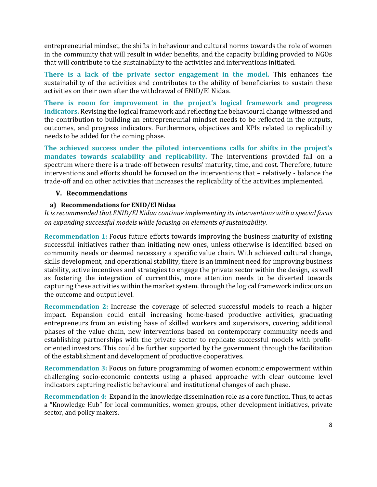entrepreneurial mindset, the shifts in behaviour and cultural norms towards the role of women in the community that will result in wider benefits, and the capacity building provded to NGOs that will contribute to the sustainability to the activities and interventions initiated.

**There is a lack of the private sector engagement in the model.** This enhances the sustainability of the activities and contributes to the ability of beneficiaries to sustain these activities on their own after the withdrawal of ENID/El Nidaa.

**There is room for improvement in the project's logical framework and progress indicators.** Revising the logical framework and reflecting the behavioural change witnessed and the contribution to building an entrepreneurial mindset needs to be reflected in the outputs, outcomes, and progress indicators. Furthermore, objectives and KPIs related to replicability needs to be added for the coming phase.

**The achieved success under the piloted interventions calls for shifts in the project's mandates towards scalability and replicability.** The interventions provided fall on a spectrum where there is a trade-off between results' maturity, time, and cost. Therefore, future interventions and efforts should be focused on the interventions that – relatively - balance the trade-off and on other activities that increases the replicability of the activities implemented.

#### **V. Recommendations**

#### **a) Recommendations for ENID/El Nidaa**

*It is recommended that ENID/El Nidaa continue implementing its interventions with a special focus on expanding successful models while focusing on elements of sustainability.* 

**Recommendation 1:** Focus future efforts towards improving the business maturity of existing successful initiatives rather than initiating new ones, unless otherwise is identified based on community needs or deemed necessary a specific value chain. With achieved cultural change, skills development, and operational stability, there is an imminent need for improving business stability, active incentives and strategies to engage the private sector within the design, as well as fostering the integration of currentthis, more attention needs to be diverted towards capturing these activities within the market system. through the logical framework indicators on the outcome and output level.

**Recommendation 2:** Increase the coverage of selected successful models to reach a higher impact. Expansion could entail increasing home-based productive activities, graduating entrepreneurs from an existing base of skilled workers and supervisors, covering additional phases of the value chain, new interventions based on contemporary community needs and establishing partnerships with the private sector to replicate successful models with profitoriented investors. This could be further supported by the government through the facilitation of the establishment and development of productive cooperatives.

**Recommendation 3:** Focus on future programming of women economic empowerment within challenging socio-economic contexts using a phased approache with clear outcome level indicators capturing realistic behavioural and institutional changes of each phase.

**Recommendation 4:** Expand in the knowledge dissemination role as a core function. Thus, to act as a "Knowledge Hub" for local communities, women groups, other development initiatives, private sector, and policy makers.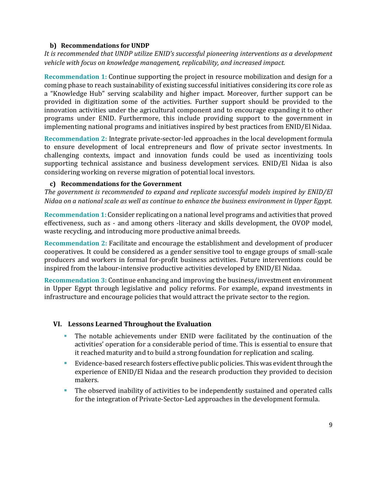#### **b) Recommendations for UNDP**

*It is recommended that UNDP utilize ENID's successful pioneering interventions as a development vehicle with focus on knowledge management, replicability, and increased impact.* 

**Recommendation 1:** Continue supporting the project in resource mobilization and design for a coming phase to reach sustainability of existing successful initiatives considering its core role as a "Knowledge Hub" serving scalability and higher impact. Moreover, further support can be provided in digitization some of the activities. Further support should be provided to the innovation activities under the agricultural component and to encourage expanding it to other programs under ENID. Furthermore, this include providing support to the government in implementing national programs and initiatives inspired by best practices from ENID/El Nidaa.

**Recommendation 2:** Integrate private-sector-led approaches in the local development formula to ensure development of local entrepreneurs and flow of private sector investments. In challenging contexts, impact and innovation funds could be used as incentivizing tools supporting technical assistance and business development services. ENID/El Nidaa is also considering working on reverse migration of potential local investors.

#### **c) Recommendations for the Government**

*The government is recommended to expand and replicate successful models inspired by ENID/El Nidaa on a national scale as well as continue to enhance the business environment in Upper Egypt.*

**Recommendation 1:** Consider replicating on a national level programs and activities that proved effectiveness, such as - and among others -literacy and skills development, the OVOP model, waste recycling, and introducing more productive animal breeds.

**Recommendation 2:** Facilitate and encourage the establishment and development of producer cooperatives. It could be considered as a gender sensitive tool to engage groups of small-scale producers and workers in formal for-profit business activities. Future interventions could be inspired from the labour-intensive productive activities developed by ENID/El Nidaa.

**Recommendation 3:** Continue enhancing and improving the business/investment environment in Upper Egypt through legislative and policy reforms. For example, expand investments in infrastructure and encourage policies that would attract the private sector to the region.

#### **VI. Lessons Learned Throughout the Evaluation**

- The notable achievements under ENID were facilitated by the continuation of the activities' operation for a considerable period of time. This is essential to ensure that it reached maturity and to build a strong foundation for replication and scaling.
- Evidence-based research fosters effective public policies. This was evident through the experience of ENID/El Nidaa and the research production they provided to decision makers.
- The observed inability of activities to be independently sustained and operated calls for the integration of Private-Sector-Led approaches in the development formula.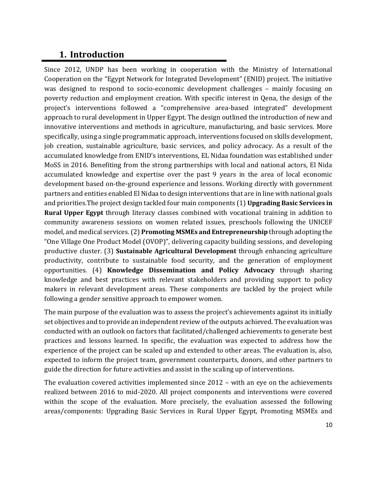### <span id="page-10-0"></span>**1. Introduction**

Since 2012, UNDP has been working in cooperation with the Ministry of International Cooperation on the "Egypt Network for Integrated Development" (ENID) project. The initiative was designed to respond to socio-economic development challenges – mainly focusing on poverty reduction and employment creation. With specific interest in Qena, the design of the project's interventions followed a "comprehensive area-based integrated" development approach to rural development in Upper Egypt. The design outlined the introduction of new and innovative interventions and methods in agriculture, manufacturing, and basic services. More specifically, using a single programmatic approach, interventions focused on skills development, job creation, sustainable agriculture, basic services, and policy advocacy. As a result of the accumulated knowledge from ENID's interventions, EL Nidaa foundation was established under MoSS in 2016. Benefiting from the strong partnerships with local and national actors, El Nida accumulated knowledge and expertise over the past 9 years in the area of local economic development based on-the-ground experience and lessons. Working directly with government partners and entities enabled El Nidaa to design interventions that are in line with national goals and priorities.The project design tackled four main components (1) **Upgrading Basic Services in Rural Upper Egypt** through literacy classes combined with vocational training in addition to community awareness sessions on women related issues, preschools following the UNICEF model, and medical services.(2) **Promoting MSMEs and Entrepreneurship** through adopting the "One Village One Product Model (OVOP)", delivering capacity building sessions, and developing productive cluster. (3) **Sustainable Agricultural Development** through enhancing agriculture productivity, contribute to sustainable food security, and the generation of employment opportunities. (4) **Knowledge Dissemination and Policy Advocacy** through sharing knowledge and best practices with relevant stakeholders and providing support to policy makers in relevant development areas. These components are tackled by the project while following a gender sensitive approach to empower women.

The main purpose of the evaluation was to assess the project's achievements against its initially set objectives and to provide an independent review of the outputs achieved. The evaluation was conducted with an outlook on factors that facilitated/challenged achievements to generate best practices and lessons learned. In specific, the evaluation was expected to address how the experience of the project can be scaled up and extended to other areas. The evaluation is, also, expected to inform the project team, government counterparts, donors, and other partners to guide the direction for future activities and assist in the scaling up of interventions.

The evaluation covered activities implemented since 2012 – with an eye on the achievements realized between 2016 to mid-2020. All project components and interventions were covered within the scope of the evaluation. More precisely, the evaluation assessed the following areas/components: Upgrading Basic Services in Rural Upper Egypt, Promoting MSMEs and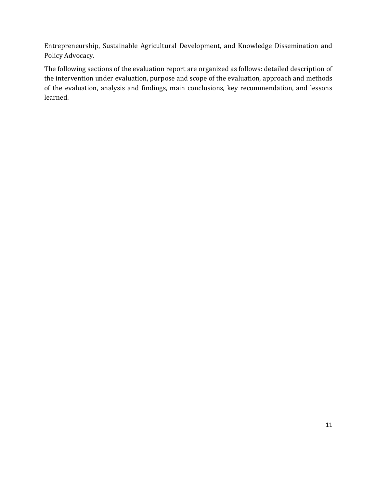Entrepreneurship, Sustainable Agricultural Development, and Knowledge Dissemination and Policy Advocacy.

The following sections of the evaluation report are organized as follows: detailed description of the intervention under evaluation, purpose and scope of the evaluation, approach and methods of the evaluation, analysis and findings, main conclusions, key recommendation, and lessons learned.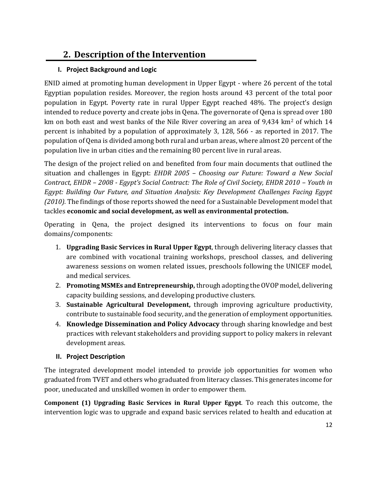# <span id="page-12-0"></span>**2. Description of the Intervention**

#### <span id="page-12-1"></span>**I. Project Background and Logic**

ENID aimed at promoting human development in Upper Egypt - where 26 percent of the total Egyptian population resides. Moreover, the region hosts around 43 percent of the total poor population in Egypt. Poverty rate in rural Upper Egypt reached 48%. The project's design intended to reduce poverty and create jobs in Qena. The governorate of Qena is spread over 180 km on both east and west banks of the Nile River covering an area of 9,434 km<sup>2</sup> of which 14 percent is inhabited by a population of approximately 3, 128, 566 - as reported in 2017. The population of Qena is divided among both rural and urban areas, where almost 20 percent of the population live in urban cities and the remaining 80 percent live in rural areas.

The design of the project relied on and benefited from four main documents that outlined the situation and challenges in Egypt: *EHDR 2005 – Choosing our Future: Toward a New Social Contract, EHDR – 2008 - Egypt's Social Contract: The Role of Civil Society, EHDR 2010 – Youth in Egypt: Building Our Future, and Situation Analysis: Key Development Challenges Facing Egypt (2010).* The findings of those reports showed the need for a Sustainable Development model that tackles **economic and social development, as well as environmental protection.**

Operating in Qena, the project designed its interventions to focus on four main domains/components:

- 1. **Upgrading Basic Services in Rural Upper Egypt**, through delivering literacy classes that are combined with vocational training workshops, preschool classes, and delivering awareness sessions on women related issues, preschools following the UNICEF model, and medical services.
- 2. **Promoting MSMEs and Entrepreneurship,** through adopting the OVOP model, delivering capacity building sessions, and developing productive clusters.
- 3. **Sustainable Agricultural Development,** through improving agriculture productivity, contribute to sustainable food security, and the generation of employment opportunities.
- 4. **Knowledge Dissemination and Policy Advocacy** through sharing knowledge and best practices with relevant stakeholders and providing support to policy makers in relevant development areas.

#### <span id="page-12-2"></span>**II. Project Description**

The integrated development model intended to provide job opportunities for women who graduated from TVET and others who graduated from literacy classes. This generates income for poor, uneducated and unskilled women in order to empower them.

**Component (1) Upgrading Basic Services in Rural Upper Egypt**. To reach this outcome, the intervention logic was to upgrade and expand basic services related to health and education at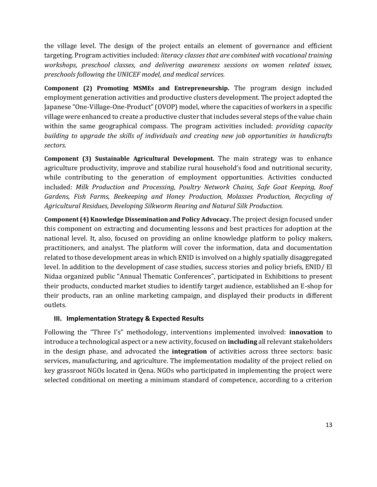the village level. The design of the project entails an element of governance and efficient targeting. Program activities included: *literacy classes that are combined with vocational training workshops, preschool classes, and delivering awareness sessions on women related issues, preschools following the UNICEF model, and medical services.*

**Component (2) Promoting MSMEs and Entrepreneurship.** The program design included employment generation activities and productive clusters development. The project adopted the Japanese "One-Village-One-Product" (OVOP) model, where the capacities of workers in a specific village were enhanced to create a productive cluster that includes several steps of the value chain within the same geographical compass. The program activities included: *providing capacity building to upgrade the skills of individuals and creating new job opportunities in handicrafts sectors.*

**Component (3) Sustainable Agricultural Development.** The main strategy was to enhance agriculture productivity, improve and stabilize rural household's food and nutritional security, while contributing to the generation of employment opportunities. Activities conducted included: *Milk Production and Processing, Poultry Network Chains, Safe Goat Keeping, Roof Gardens, Fish Farms, Beekeeping and Honey Production, Molasses Production, Recycling of Agricultural Residues, Developing Silkworm Rearing and Natural Silk Production.*

**Component (4) Knowledge Dissemination and Policy Advocacy.** The project design focused under this component on extracting and documenting lessons and best practices for adoption at the national level. It, also, focused on providing an online knowledge platform to policy makers, practitioners, and analyst. The platform will cover the information, data and documentation related to those development areas in which ENID is involved on a highly spatially disaggregated level. In addition to the development of case studies, success stories and policy briefs, ENID/ El Nidaa organized public "Annual Thematic Conferences", participated in Exhibitions to present their products, conducted market studies to identify target audience, established an E-shop for their products, ran an online marketing campaign, and displayed their products in different outlets.

#### <span id="page-13-0"></span>**III. Implementation Strategy & Expected Results**

Following the "Three I's" methodology, interventions implemented involved: **innovation** to introduce a technological aspect or a new activity, focused on **including** all relevant stakeholders in the design phase, and advocated the **integration** of activities across three sectors: basic services, manufacturing, and agriculture. The implementation modality of the project relied on key grassroot NGOs located in Qena. NGOs who participated in implementing the project were selected conditional on meeting a minimum standard of competence, according to a criterion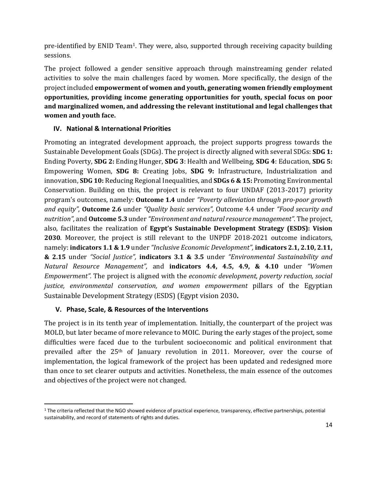pre-identified by ENID Team1. They were, also, supported through receiving capacity building sessions.

The project followed a gender sensitive approach through mainstreaming gender related activities to solve the main challenges faced by women. More specifically, the design of the project included **empowerment of women and youth, generating women friendly employment opportunities, providing income generating opportunities for youth, special focus on poor and marginalized women, and addressing the relevant institutional and legal challenges that women and youth face.**

#### <span id="page-14-0"></span>**IV. National & International Priorities**

Promoting an integrated development approach, the project supports progress towards the Sustainable Development Goals (SDGs). The project is directly aligned with several SDGs: **SDG 1:** Ending Poverty, **SDG 2:** Ending Hunger, **SDG 3**: Health and Wellbeing, **SDG 4**: Education, **SDG 5:** Empowering Women, **SDG 8:** Creating Jobs, **SDG 9:** Infrastructure, Industrialization and innovation, **SDG 10:** Reducing Regional Inequalities, and **SDGs 6 & 15:** Promoting Environmental Conservation. Building on this, the project is relevant to four UNDAF (2013-2017) priority program's outcomes, namely: **Outcome 1.4** under *"Poverty alleviation through pro-poor growth and equity",* **Outcome 2.6** under *"Quality basic services",* Outcome 4.4 under *"Food security and nutrition",* and **Outcome 5.3** under *"Environment and natural resource management".* The project, also, facilitates the realization of **Egypt's Sustainable Development Strategy (ESDS): Vision 2030**. Moreover, the project is still relevant to the UNPDF 2018-2021 outcome indicators, namely: **indicators 1.1 & 1.9** under *"Inclusive Economic Development",* **indicators 2.1, 2.10, 2.11, & 2.15** under *"Social Justice",* **indicators 3.1 & 3.5** under *"Environmental Sustainability and Natural Resource Management",* and **indicators 4.4, 4.5, 4.9, & 4.10** under *"Women Empowerment".* The project is aligned with the *economic development, poverty reduction, social justice, environmental conservation, and women empowerment* pillars of the Egyptian Sustainable Development Strategy (ESDS) (Egypt vision 2030**.**

#### <span id="page-14-1"></span>**V. Phase, Scale, & Resources of the Interventions**

The project is in its tenth year of implementation. Initially, the counterpart of the project was MOLD, but later became of more relevance to MOIC. During the early stages of the project, some difficulties were faced due to the turbulent socioeconomic and political environment that prevailed after the 25<sup>th</sup> of January revolution in 2011. Moreover, over the course of implementation, the logical framework of the project has been updated and redesigned more than once to set clearer outputs and activities. Nonetheless, the main essence of the outcomes and objectives of the project were not changed.

<sup>1</sup> The criteria reflected that the NGO showed evidence of practical experience, transparency, effective partnerships, potential sustainability, and record of statements of rights and duties.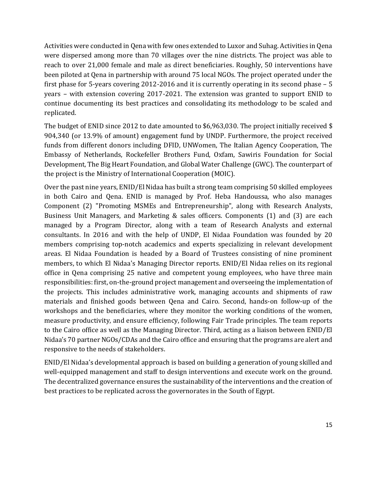Activities were conducted in Qena with few ones extended to Luxor and Suhag. Activities in Qena were dispersed among more than 70 villages over the nine districts. The project was able to reach to over 21,000 female and male as direct beneficiaries. Roughly, 50 interventions have been piloted at Qena in partnership with around 75 local NGOs. The project operated under the first phase for 5-years covering 2012-2016 and it is currently operating in its second phase – 5 years – with extension covering 2017-2021. The extension was granted to support ENID to continue documenting its best practices and consolidating its methodology to be scaled and replicated.

The budget of ENID since 2012 to date amounted to \$6,963,030. The project initially received \$ 904,340 (or 13.9% of amount) engagement fund by UNDP. Furthermore, the project received funds from different donors including DFID, UNWomen, The Italian Agency Cooperation, The Embassy of Netherlands, Rockefeller Brothers Fund, Oxfam, Sawiris Foundation for Social Development, The Big Heart Foundation, and Global Water Challenge (GWC). The counterpart of the project is the Ministry of International Cooperation (MOIC).

Over the past nine years, ENID/El Nidaa has built a strong team comprising 50 skilled employees in both Cairo and Qena. ENID is managed by Prof. Heba Handoussa, who also manages Component (2) "Promoting MSMEs and Entrepreneurship", along with Research Analysts, Business Unit Managers, and Marketing & sales officers. Components (1) and (3) are each managed by a Program Director, along with a team of Research Analysts and external consultants. In 2016 and with the help of UNDP, El Nidaa Foundation was founded by 20 members comprising top-notch academics and experts specializing in relevant development areas. El Nidaa Foundation is headed by a Board of Trustees consisting of nine prominent members, to which El Nidaa's Managing Director reports. ENID/El Nidaa relies on its regional office in Qena comprising 25 native and competent young employees, who have three main responsibilities: first, on-the-ground project management and overseeing the implementation of the projects. This includes administrative work, managing accounts and shipments of raw materials and finished goods between Qena and Cairo. Second, hands-on follow-up of the workshops and the beneficiaries, where they monitor the working conditions of the women, measure productivity, and ensure efficiency, following Fair Trade principles. The team reports to the Cairo office as well as the Managing Director. Third, acting as a liaison between ENID/El Nidaa's 70 partner NGOs/CDAs and the Cairo office and ensuring that the programs are alert and responsive to the needs of stakeholders.

ENID/El Nidaa's developmental approach is based on building a generation of young skilled and well-equipped management and staff to design interventions and execute work on the ground. The decentralized governance ensures the sustainability of the interventions and the creation of best practices to be replicated across the governorates in the South of Egypt.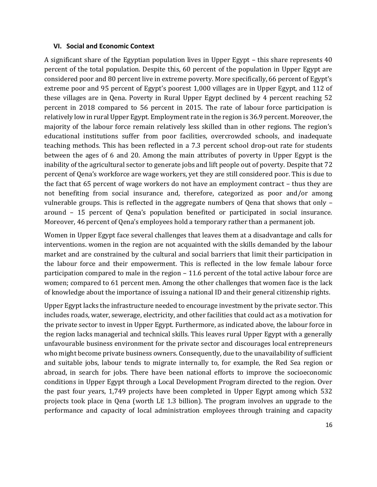#### <span id="page-16-0"></span>**VI. Social and Economic Context**

A significant share of the Egyptian population lives in Upper Egypt – this share represents 40 percent of the total population. Despite this, 60 percent of the population in Upper Egypt are considered poor and 80 percent live in extreme poverty. More specifically, 66 percent of Egypt's extreme poor and 95 percent of Egypt's poorest 1,000 villages are in Upper Egypt, and 112 of these villages are in Qena. Poverty in Rural Upper Egypt declined by 4 percent reaching 52 percent in 2018 compared to 56 percent in 2015. The rate of labour force participation is relatively low in rural Upper Egypt. Employment rate in the region is 36.9 percent. Moreover, the majority of the labour force remain relatively less skilled than in other regions. The region's educational institutions suffer from poor facilities, overcrowded schools, and inadequate teaching methods. This has been reflected in a 7.3 percent school drop-out rate for students between the ages of 6 and 20. Among the main attributes of poverty in Upper Egypt is the inability of the agricultural sector to generate jobs and lift people out of poverty. Despite that 72 percent of Qena's workforce are wage workers, yet they are still considered poor. This is due to the fact that 65 percent of wage workers do not have an employment contract – thus they are not benefiting from social insurance and, therefore, categorized as poor and/or among vulnerable groups. This is reflected in the aggregate numbers of Qena that shows that only – around – 15 percent of Qena's population benefited or participated in social insurance. Moreover, 46 percent of Qena's employees hold a temporary rather than a permanent job.

Women in Upper Egypt face several challenges that leaves them at a disadvantage and calls for interventions. women in the region are not acquainted with the skills demanded by the labour market and are constrained by the cultural and social barriers that limit their participation in the labour force and their empowerment. This is reflected in the low female labour force participation compared to male in the region – 11.6 percent of the total active labour force are women; compared to 61 percent men. Among the other challenges that women face is the lack of knowledge about the importance of issuing a national ID and their general citizenship rights.

Upper Egypt lacks the infrastructure needed to encourage investment by the private sector. This includes roads, water, sewerage, electricity, and other facilities that could act as a motivation for the private sector to invest in Upper Egypt. Furthermore, as indicated above, the labour force in the region lacks managerial and technical skills. This leaves rural Upper Egypt with a generally unfavourable business environment for the private sector and discourages local entrepreneurs who might become private business owners. Consequently, due to the unavailability of sufficient and suitable jobs, labour tends to migrate internally to, for example, the Red Sea region or abroad, in search for jobs. There have been national efforts to improve the socioeconomic conditions in Upper Egypt through a Local Development Program directed to the region. Over the past four years, 1,749 projects have been completed in Upper Egypt among which 532 projects took place in Qena (worth LE 1.3 billion). The program involves an upgrade to the performance and capacity of local administration employees through training and capacity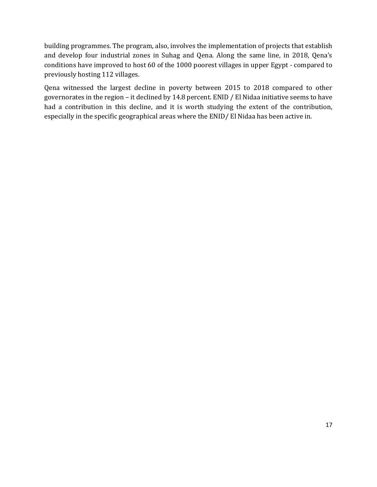building programmes. The program, also, involves the implementation of projects that establish and develop four industrial zones in Suhag and Qena. Along the same line, in 2018, Qena's conditions have improved to host 60 of the 1000 poorest villages in upper Egypt - compared to previously hosting 112 villages.

Qena witnessed the largest decline in poverty between 2015 to 2018 compared to other governorates in the region – it declined by 14.8 percent. ENID / El Nidaa initiative seems to have had a contribution in this decline, and it is worth studying the extent of the contribution, especially in the specific geographical areas where the ENID/ El Nidaa has been active in.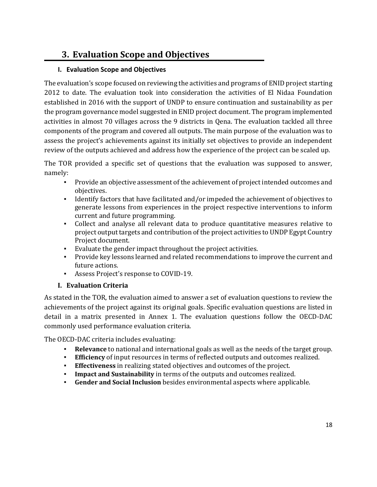# <span id="page-18-0"></span>**3. Evaluation Scope and Objectives**

#### <span id="page-18-1"></span>**I. Evaluation Scope and Objectives**

The evaluation's scope focused on reviewing the activities and programs of ENID project starting 2012 to date. The evaluation took into consideration the activities of El Nidaa Foundation established in 2016 with the support of UNDP to ensure continuation and sustainability as per the program governance model suggested in ENID project document. The program implemented activities in almost 70 villages across the 9 districts in Qena. The evaluation tackled all three components of the program and covered all outputs. The main purpose of the evaluation was to assess the project's achievements against its initially set objectives to provide an independent review of the outputs achieved and address how the experience of the project can be scaled up.

The TOR provided a specific set of questions that the evaluation was supposed to answer, namely:

- Provide an objective assessment of the achievement of project intended outcomes and objectives.
- Identify factors that have facilitated and/or impeded the achievement of objectives to generate lessons from experiences in the project respective interventions to inform current and future programming.
- Collect and analyse all relevant data to produce quantitative measures relative to project output targets and contribution of the project activities to UNDP Egypt Country Project document.
- Evaluate the gender impact throughout the project activities.
- Provide key lessons learned and related recommendations to improve the current and future actions.
- Assess Project's response to COVID-19.

#### **I. Evaluation Criteria**

<span id="page-18-2"></span>As stated in the TOR, the evaluation aimed to answer a set of evaluation questions to review the achievements of the project against its original goals. Specific evaluation questions are listed in detail in a matrix presented in Annex 1. The evaluation questions follow the OECD-DAC commonly used performance evaluation criteria.

The OECD-DAC criteria includes evaluating:

- **Relevance** to national and international goals as well as the needs of the target group.
- **Efficiency** of input resources in terms of reflected outputs and outcomes realized.
- **Effectiveness** in realizing stated objectives and outcomes of the project.
- **Impact and Sustainability** in terms of the outputs and outcomes realized.
- Gender and Social Inclusion besides environmental aspects where applicable.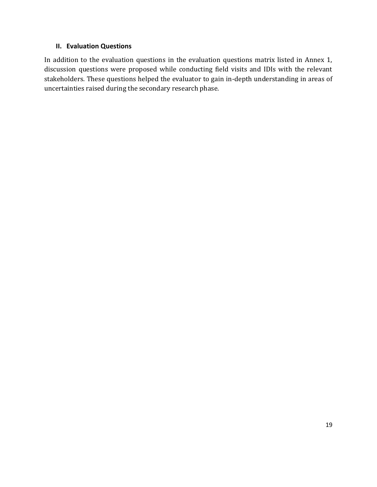#### <span id="page-19-0"></span>**II. Evaluation Questions**

In addition to the evaluation questions in the evaluation questions matrix listed in Annex 1, discussion questions were proposed while conducting field visits and IDIs with the relevant stakeholders. These questions helped the evaluator to gain in-depth understanding in areas of uncertainties raised during the secondary research phase.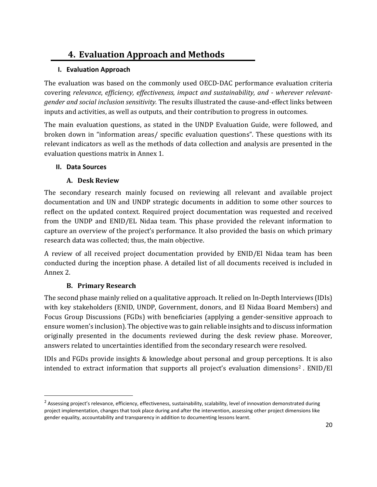# <span id="page-20-0"></span>**4. Evaluation Approach and Methods**

#### <span id="page-20-1"></span>**I. Evaluation Approach**

The evaluation was based on the commonly used OECD-DAC performance evaluation criteria covering *relevance*, *efficiency, effectiveness, impact and sustainability, and - wherever relevantgender and social inclusion sensitivity.* The results illustrated the cause-and-effect links between inputs and activities, as well as outputs, and their contribution to progress in outcomes.

The main evaluation questions, as stated in the UNDP Evaluation Guide, were followed, and broken down in "information areas/ specific evaluation questions". These questions with its relevant indicators as well as the methods of data collection and analysis are presented in the evaluation questions matrix in Annex 1.

#### <span id="page-20-2"></span>**II. Data Sources**

#### **A. Desk Review**

<span id="page-20-3"></span>The secondary research mainly focused on reviewing all relevant and available project documentation and UN and UNDP strategic documents in addition to some other sources to reflect on the updated context. Required project documentation was requested and received from the UNDP and ENID/EL Nidaa team. This phase provided the relevant information to capture an overview of the project's performance. It also provided the basis on which primary research data was collected; thus, the main objective.

A review of all received project documentation provided by ENID/El Nidaa team has been conducted during the inception phase. A detailed list of all documents received is included in Annex 2.

#### **B. Primary Research**

<span id="page-20-4"></span>The second phase mainly relied on a qualitative approach. It relied on In-Depth Interviews (IDIs) with key stakeholders (ENID, UNDP, Government, donors, and El Nidaa Board Members) and Focus Group Discussions (FGDs) with beneficiaries (applying a gender-sensitive approach to ensure women's inclusion). The objective was to gain reliable insights and to discuss information originally presented in the documents reviewed during the desk review phase. Moreover, answers related to uncertainties identified from the secondary research were resolved.

IDIs and FGDs provide insights & knowledge about personal and group perceptions. It is also intended to extract information that supports all project's evaluation dimensions<sup>2</sup>. ENID/El

 $^2$  Assessing project's relevance, efficiency, effectiveness, sustainability, scalability, level of innovation demonstrated during project implementation, changes that took place during and after the intervention, assessing other project dimensions like gender equality, accountability and transparency in addition to documenting lessons learnt.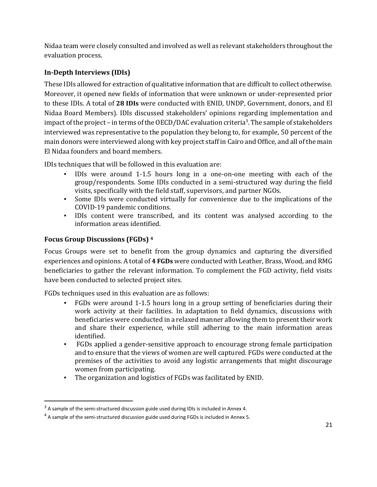Nidaa team were closely consulted and involved as well as relevant stakeholders throughout the evaluation process.

#### <span id="page-21-0"></span>**In-Depth Interviews (IDIs)**

These IDIs allowed for extraction of qualitative information that are difficult to collect otherwise. Moreover, it opened new fields of information that were unknown or under-represented prior to these IDIs. A total of **28 IDIs** were conducted with ENID, UNDP, Government, donors, and El Nidaa Board Members). IDIs discussed stakeholders' opinions regarding implementation and impact of the project – in terms of the OECD/DAC evaluation criteria<sup>3</sup>. The sample of stakeholders interviewed was representative to the population they belong to, for example, 50 percent of the main donors were interviewed along with key project staff in Cairo and Office, and all of the main El Nidaa founders and board members.

IDIs techniques that will be followed in this evaluation are:

- IDIs were around 1-1.5 hours long in a one-on-one meeting with each of the group/respondents. Some IDIs conducted in a semi-structured way during the field visits, specifically with the field staff, supervisors, and partner NGOs.
- Some IDIs were conducted virtually for convenience due to the implications of the COVID-19 pandemic conditions.
- IDIs content were transcribed, and its content was analysed according to the information areas identified.

#### <span id="page-21-1"></span>**Focus Group Discussions (FGDs) <sup>4</sup>**

Focus Groups were set to benefit from the group dynamics and capturing the diversified experiences and opinions. A total of **4 FGDs** were conducted with Leather, Brass, Wood, and RMG beneficiaries to gather the relevant information. To complement the FGD activity, field visits have been conducted to selected project sites.

FGDs techniques used in this evaluation are as follows:

- FGDs were around 1-1.5 hours long in a group setting of beneficiaries during their work activity at their facilities. In adaptation to field dynamics, discussions with beneficiaries were conducted in a relaxed manner allowing them to present their work and share their experience, while still adhering to the main information areas identified.
- FGDs applied a gender-sensitive approach to encourage strong female participation and to ensure that the views of women are well captured. FGDs were conducted at the premises of the activities to avoid any logistic arrangements that might discourage women from participating.
- The organization and logistics of FGDs was facilitated by ENID.

 $3$  A sample of the semi-structured discussion guide used during IDIs is included in Annex 4.

<sup>&</sup>lt;sup>4</sup> A sample of the semi-structured discussion guide used during FGDs is included in Annex 5.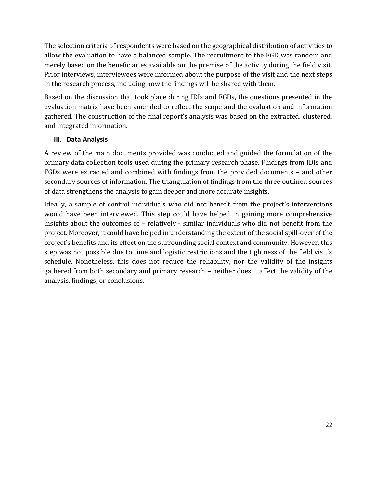The selection criteria of respondents were based on the geographical distribution of activities to allow the evaluation to have a balanced sample. The recruitment to the FGD was random and merely based on the beneficiaries available on the premise of the activity during the field visit. Prior interviews, interviewees were informed about the purpose of the visit and the next steps in the research process, including how the findings will be shared with them.

Based on the discussion that took place during IDIs and FGDs, the questions presented in the evaluation matrix have been amended to reflect the scope and the evaluation and information gathered. The construction of the final report's analysis was based on the extracted, clustered, and integrated information.

#### <span id="page-22-0"></span>**III. Data Analysis**

A review of the main documents provided was conducted and guided the formulation of the primary data collection tools used during the primary research phase. Findings from IDIs and FGDs were extracted and combined with findings from the provided documents – and other secondary sources of information. The triangulation of findings from the three outlined sources of data strengthens the analysis to gain deeper and more accurate insights.

Ideally, a sample of control individuals who did not benefit from the project's interventions would have been interviewed. This step could have helped in gaining more comprehensive insights about the outcomes of – relatively - similar individuals who did not benefit from the project. Moreover, it could have helped in understanding the extent of the social spill-over of the project's benefits and its effect on the surrounding social context and community. However, this step was not possible due to time and logistic restrictions and the tightness of the field visit's schedule. Nonetheless, this does not reduce the reliability, nor the validity of the insights gathered from both secondary and primary research – neither does it affect the validity of the analysis, findings, or conclusions.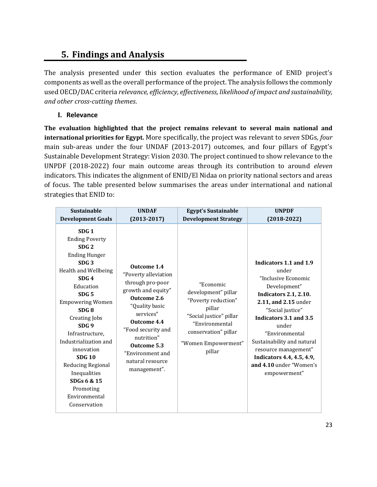### <span id="page-23-0"></span>**5. Findings and Analysis**

The analysis presented under this section evaluates the performance of ENID project's components as well as the overall performance of the project. The analysis follows the commonly used OECD/DAC criteria *relevance, efficiency, effectiveness, likelihood of impact and sustainability, and other cross-cutting themes*.

#### **I. Relevance**

<span id="page-23-1"></span>**The evaluation highlighted that the project remains relevant to several main national and international priorities for Egypt.** More specifically, the project was relevant to *seven* SDGs, *four* main sub-areas under the four UNDAF (2013-2017) outcomes, and four pillars of Egypt's Sustainable Development Strategy: Vision 2030. The project continued to show relevance to the UNPDF (2018-2022) four main outcome areas through its contribution to around *eleven* indicators. This indicates the alignment of ENID/El Nidaa on priority national sectors and areas of focus. The table presented below summarises the areas under international and national strategies that ENID to:

| <b>Sustainable</b>                                                                                                                                                                                                                                                                                                                                                                                                                          | <b>UNDAF</b>                                                                                                                                                                                                                                          | <b>Egypt's Sustainable</b>                                                                                                                                              | <b>UNPDF</b>                                                                                                                                                                                                                                                                                                                          |
|---------------------------------------------------------------------------------------------------------------------------------------------------------------------------------------------------------------------------------------------------------------------------------------------------------------------------------------------------------------------------------------------------------------------------------------------|-------------------------------------------------------------------------------------------------------------------------------------------------------------------------------------------------------------------------------------------------------|-------------------------------------------------------------------------------------------------------------------------------------------------------------------------|---------------------------------------------------------------------------------------------------------------------------------------------------------------------------------------------------------------------------------------------------------------------------------------------------------------------------------------|
| <b>Development Goals</b>                                                                                                                                                                                                                                                                                                                                                                                                                    | $(2013 - 2017)$                                                                                                                                                                                                                                       | <b>Development Strategy</b>                                                                                                                                             | $(2018-2022)$                                                                                                                                                                                                                                                                                                                         |
| SDG <sub>1</sub><br><b>Ending Poverty</b><br>SDG <sub>2</sub><br><b>Ending Hunger</b><br>SDG <sub>3</sub><br>Health and Wellbeing<br>SDG <sub>4</sub><br>Education<br>SDG <sub>5</sub><br><b>Empowering Women</b><br>SDG8<br>Creating Jobs<br>SDG <sub>9</sub><br>Infrastructure,<br>Industrialization and<br>innovation<br><b>SDG 10</b><br>Reducing Regional<br>Inequalities<br>SDGs 6 & 15<br>Promoting<br>Environmental<br>Conservation | Outcome 1.4<br>"Poverty alleviation<br>through pro-poor<br>growth and equity"<br>Outcome 2.6<br>"Quality basic<br>services"<br>Outcome 4.4<br>"Food security and<br>nutrition"<br>Outcome 5.3<br>"Environment and<br>natural resource<br>management". | "Economic<br>development" pillar<br>"Poverty reduction"<br>pillar<br>"Social justice" pillar<br>"Environmental<br>conservation" pillar<br>"Women Empowerment"<br>pillar | Indicators 1.1 and 1.9<br>under<br>"Inclusive Economic<br>Development"<br><b>Indicators 2.1, 2.10.</b><br>2.11, and 2.15 under<br>"Social justice"<br>Indicators 3.1 and 3.5<br>under<br>"Environmental<br>Sustainability and natural<br>resource management"<br>Indicators 4.4, 4.5, 4.9,<br>and 4.10 under "Women's<br>empowerment" |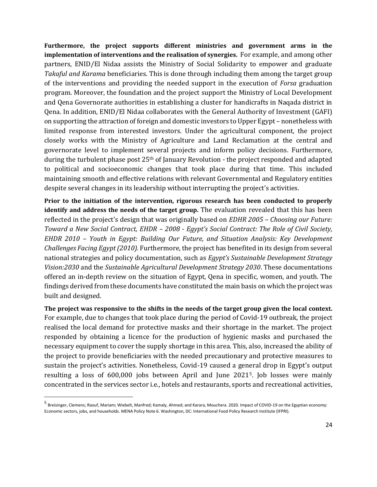**Furthermore, the project supports different ministries and government arms in the implementation of interventions and the realisation of synergies.** For example, and among other partners, ENID/El Nidaa assists the Ministry of Social Solidarity to empower and graduate *Takaful and Karama* beneficiaries. This is done through including them among the target group of the interventions and providing the needed support in the execution of *Forsa* graduation program. Moreover, the foundation and the project support the Ministry of Local Development and Qena Governorate authorities in establishing a cluster for handicrafts in Naqada district in Qena. In addition, ENID/El Nidaa collaborates with the General Authority of Investment (GAFI) on supporting the attraction of foreign and domestic investors to Upper Egypt – nonetheless with limited response from interested investors. Under the agricultural component, the project closely works with the Ministry of Agriculture and Land Reclamation at the central and governorate level to implement several projects and inform policy decisions. Furthermore, during the turbulent phase post  $25<sup>th</sup>$  of January Revolution - the project responded and adapted to political and socioeconomic changes that took place during that time. This included maintaining smooth and effective relations with relevant Governmental and Regulatory entities despite several changes in its leadership without interrupting the project's activities.

**Prior to the initiation of the intervention, rigorous research has been conducted to properly identify and address the needs of the target group.** The evaluation revealed that this has been reflected in the project's design that was originally based on *EDHR 2005 – Choosing our Future: Toward a New Social Contract, EHDR – 2008 - Egypt's Social Contract: The Role of Civil Society, EHDR 2010 – Youth in Egypt: Building Our Future, and Situation Analysis: Key Development Challenges Facing Egypt (2010).* Furthermore, the project has benefited in its design from several national strategies and policy documentation, such as *Egypt's Sustainable Development Strategy Vision:2030* and the *Sustainable Agricultural Development Strategy 2030*. These documentations offered an in-depth review on the situation of Egypt, Qena in specific, women, and youth. The findings derived from these documents have constituted the main basis on which the project was built and designed.

**The project was responsive to the shifts in the needs of the target group given the local context.** For example, due to changes that took place during the period of Covid-19 outbreak, the project realised the local demand for protective masks and their shortage in the market. The project responded by obtaining a licence for the production of hygienic masks and purchased the necessary equipment to cover the supply shortage in this area. This, also, increased the ability of the project to provide beneficiaries with the needed precautionary and protective measures to sustain the project's activities. Nonetheless, Covid-19 caused a general drop in Egypt's output resulting a loss of 600,000 jobs between April and June 20215. Job losses were mainly concentrated in the services sector i.e., hotels and restaurants, sports and recreational activities,

<sup>&</sup>lt;sup>5</sup> Breisinger, Clemens; Raouf, Mariam; Wiebelt, Manfred; Kamaly, Ahmed; and Karara, Mouchera. 2020. Impact of COVID-19 on the Egyptian economy: Economic sectors, jobs, and households. MENA Policy Note 6. Washington, DC: International Food Policy Research Institute (IFPRI).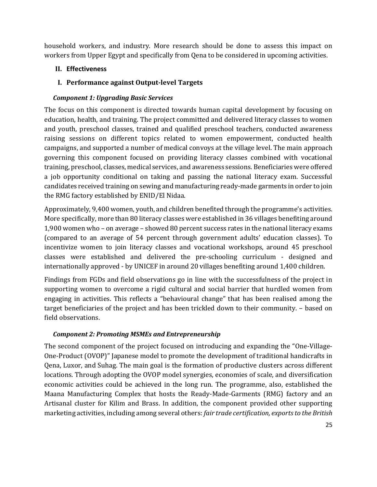household workers, and industry. More research should be done to assess this impact on workers from Upper Egypt and specifically from Qena to be considered in upcoming activities.

#### <span id="page-25-0"></span>**II. Effectiveness**

#### <span id="page-25-1"></span>**I. Performance against Output-level Targets**

#### *Component 1: Upgrading Basic Services*

The focus on this component is directed towards human capital development by focusing on education, health, and training. The project committed and delivered literacy classes to women and youth, preschool classes, trained and qualified preschool teachers, conducted awareness raising sessions on different topics related to women empowerment, conducted health campaigns, and supported a number of medical convoys at the village level. The main approach governing this component focused on providing literacy classes combined with vocational training, preschool, classes, medical services, and awareness sessions. Beneficiaries were offered a job opportunity conditional on taking and passing the national literacy exam. Successful candidates received training on sewing and manufacturing ready-made garments in order to join the RMG factory established by ENID/El Nidaa.

Approximately, 9,400 women, youth, and children benefited through the programme's activities. More specifically, more than 80 literacy classes were established in 36 villages benefiting around 1,900 women who – on average – showed 80 percent success rates in the national literacy exams (compared to an average of 54 percent through government adults' education classes). To incentivize women to join literacy classes and vocational workshops, around 45 preschool classes were established and delivered the pre-schooling curriculum - designed and internationally approved - by UNICEF in around 20 villages benefiting around 1,400 children.

Findings from FGDs and field observations go in line with the successfulness of the project in supporting women to overcome a rigid cultural and social barrier that hurdled women from engaging in activities. This reflects a "behavioural change" that has been realised among the target beneficiaries of the project and has been trickled down to their community. – based on field observations.

#### *Component 2: Promoting MSMEs and Entrepreneurship*

The second component of the project focused on introducing and expanding the "One-Village-One-Product (OVOP)" Japanese model to promote the development of traditional handicrafts in Qena, Luxor, and Suhag. The main goal is the formation of productive clusters across different locations. Through adopting the OVOP model synergies, economies of scale, and diversification economic activities could be achieved in the long run. The programme, also, established the Maana Manufacturing Complex that hosts the Ready-Made-Garments (RMG) factory and an Artisanal cluster for Kilim and Brass. In addition, the component provided other supporting marketing activities, including among several others: *fair trade certification, exports to the British*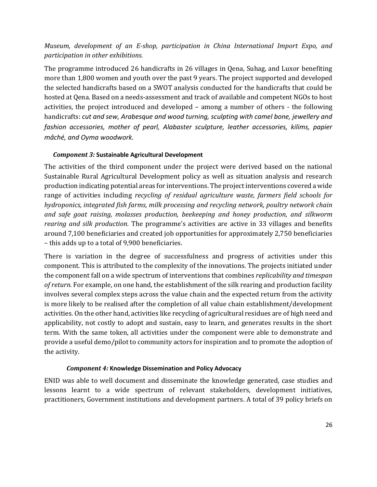#### *Museum, development of an E-shop, participation in China International Import Expo, and participation in other exhibitions.*

The programme introduced 26 handicrafts in 26 villages in Qena, Suhag, and Luxor benefiting more than 1,800 women and youth over the past 9 years. The project supported and developed the selected handicrafts based on a SWOT analysis conducted for the handicrafts that could be hosted at Qena. Based on a needs-assessment and track of available and competent NGOs to host activities, the project introduced and developed – among a number of others - the following handicrafts: *cut and sew, Arabesque and wood turning, sculpting with camel bone, jewellery and fashion accessories, mother of pearl, Alabaster sculpture, leather accessories, kilims, papier mâché, and Oyma woodwork.*

#### *Component 3:* **Sustainable Agricultural Development**

The activities of the third component under the project were derived based on the national Sustainable Rural Agricultural Development policy as well as situation analysis and research production indicating potential areas for interventions. The project interventions covered a wide range of activities including *recycling of residual agriculture waste, farmers field schools for hydroponics, integrated fish farms, milk processing and recycling network, poultry network chain and safe goat raising, molasses production, beekeeping and honey production, and silkworm rearing and silk production.* The programme's activities are active in 33 villages and benefits around 7,100 beneficiaries and created job opportunities for approximately 2,750 beneficiaries – this adds up to a total of 9,900 beneficiaries.

There is variation in the degree of successfulness and progress of activities under this component. This is attributed to the complexity of the innovations. The projects initiated under the component fall on a wide spectrum of interventions that combines *replicability and timespan of return*. For example, on one hand, the establishment of the silk rearing and production facility involves several complex steps across the value chain and the expected return from the activity is more likely to be realised after the completion of all value chain establishment/development activities. On the other hand, activities like recycling of agricultural residues are of high need and applicability, not costly to adopt and sustain, easy to learn, and generates results in the short term. With the same token, all activities under the component were able to demonstrate and provide a useful demo/pilot to community actors for inspiration and to promote the adoption of the activity.

#### *Component 4:* **Knowledge Dissemination and Policy Advocacy**

ENID was able to well document and disseminate the knowledge generated, case studies and lessons learnt to a wide spectrum of relevant stakeholders, development initiatives, practitioners, Government institutions and development partners. A total of 39 policy briefs on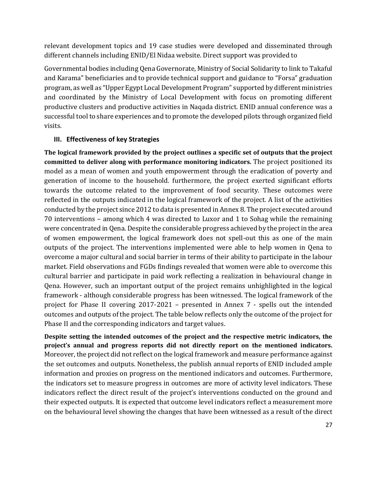relevant development topics and 19 case studies were developed and disseminated through different channels including ENID/El Nidaa website. Direct support was provided to

Governmental bodies including Qena Governorate, Ministry of Social Solidarity to link to Takaful and Karama" beneficiaries and to provide technical support and guidance to "Forsa" graduation program, as well as "Upper Egypt Local Development Program" supported by different ministries and coordinated by the Ministry of Local Development with focus on promoting different productive clusters and productive activities in Naqada district. ENID annual conference was a successful tool to share experiences and to promote the developed pilots through organized field visits.

#### <span id="page-27-0"></span>**III. Effectiveness of key Strategies**

**The logical framework provided by the project outlines a specific set of outputs that the project committed to deliver along with performance monitoring indicators.** The project positioned its model as a mean of women and youth empowerment through the eradication of poverty and generation of income to the household. furthermore, the project exerted significant efforts towards the outcome related to the improvement of food security. These outcomes were reflected in the outputs indicated in the logical framework of the project. A list of the activities conducted by the project since 2012 to data is presented in Annex 8. The project executed around 70 interventions – among which 4 was directed to Luxor and 1 to Sohag while the remaining were concentrated in Qena. Despite the considerable progress achieved by the project in the area of women empowerment, the logical framework does not spell-out this as one of the main outputs of the project. The interventions implemented were able to help women in Qena to overcome a major cultural and social barrier in terms of their ability to participate in the labour market. Field observations and FGDs findings revealed that women were able to overcome this cultural barrier and participate in paid work reflecting a realization in behavioural change in Qena. However, such an important output of the project remains unhighlighted in the logical framework - although considerable progress has been witnessed. The logical framework of the project for Phase II covering 2017-2021 – presented in Annex 7 - spells out the intended outcomes and outputs of the project. The table below reflects only the outcome of the project for Phase II and the corresponding indicators and target values.

**Despite setting the intended outcomes of the project and the respective metric indicators, the project's annual and progress reports did not directly report on the mentioned indicators.** Moreover, the project did not reflect on the logical framework and measure performance against the set outcomes and outputs. Nonetheless, the publish annual reports of ENID included ample information and proxies on progress on the mentioned indicators and outcomes. Furthermore, the indicators set to measure progress in outcomes are more of activity level indicators. These indicators reflect the direct result of the project's interventions conducted on the ground and their expected outputs. It is expected that outcome level indicators reflect a measurement more on the behavioural level showing the changes that have been witnessed as a result of the direct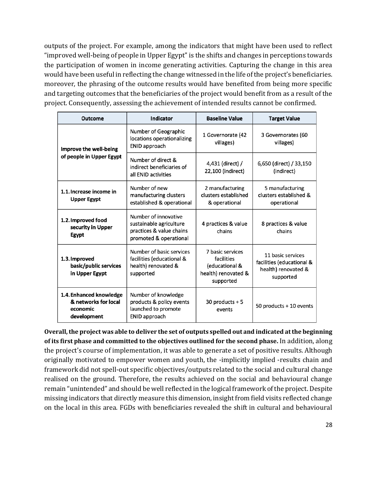outputs of the project. For example, among the indicators that might have been used to reflect "improved well-being of people in Upper Egypt" is the shifts and changes in perceptions towards the participation of women in income generating activities. Capturing the change in this area would have been useful in reflecting the change witnessed in the life of the project's beneficiaries. moreover, the phrasing of the outcome results would have benefited from being more specific and targeting outcomes that the beneficiaries of the project would benefit from as a result of the project. Consequently, assessing the achievement of intended results cannot be confirmed.

| Indicator<br>Outcome                                                                                                  |                                                                                                       | <b>Baseline Value</b>                                                                | <b>Target Value</b>                                                                |  |
|-----------------------------------------------------------------------------------------------------------------------|-------------------------------------------------------------------------------------------------------|--------------------------------------------------------------------------------------|------------------------------------------------------------------------------------|--|
| Improve the well-being                                                                                                | Number of Geographic<br>locations operationalizing<br>ENID approach                                   | 1 Governorate (42<br>villages)                                                       | 3 Governorates (60<br>villages)                                                    |  |
| of people in Upper Egypt                                                                                              | Number of direct &<br>indirect beneficiaries of<br>all ENID activities                                | 4,431 (direct) /<br>22,100 (indirect)                                                | 6,650 (direct) / 33,150<br>(indirect)                                              |  |
| Number of new<br>1.1. Increase income in<br>manufacturing clusters<br><b>Upper Egypt</b><br>established & operational |                                                                                                       | 2 manufacturing<br>clusters established<br>& operational                             | 5 manufacturing<br>clusters established &<br>operational                           |  |
| 1.2. Improved food<br>security in Upper<br><b>Egypt</b>                                                               | Number of innovative<br>sustainable agriculture<br>practices & value chains<br>promoted & operational | 4 practices & value<br>chains                                                        | 8 practices & value<br>chains                                                      |  |
| 1.3. Improved<br>basic/public services<br>in Upper Egypt                                                              | Number of basic services<br>facilities (educational &<br>health) renovated &<br>supported             | 7 basic services<br>facilities<br>(educational &<br>health) renovated &<br>supported | 11 basic services<br>facilities (educational &<br>health) renovated &<br>supported |  |
| 1.4. Enhanced knowledge<br>& networks for local<br>economic<br>development                                            | Number of knowledge<br>products & policy events<br>launched to promote<br>ENID approach               | 30 products $+5$<br>events                                                           | 50 products + 10 events                                                            |  |

**Overall, the project was able to deliver the set of outputs spelled out and indicated at the beginning of its first phase and committed to the objectives outlined for the second phase.** In addition, along the project's course of implementation, it was able to generate a set of positive results. Although originally motivated to empower women and youth, the -implicitly implied -results chain and framework did not spell-out specific objectives/outputs related to the social and cultural change realised on the ground. Therefore, the results achieved on the social and behavioural change remain "unintended" and should be well reflected in the logical framework of the project. Despite missing indicators that directly measure this dimension, insight from field visits reflected change on the local in this area. FGDs with beneficiaries revealed the shift in cultural and behavioural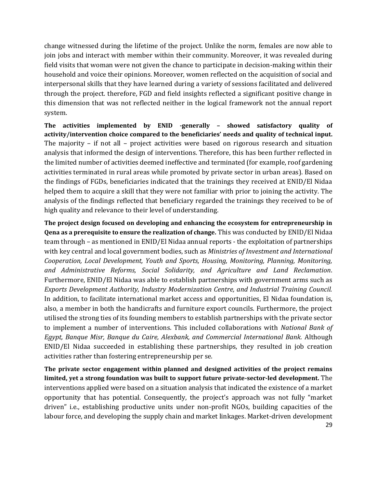change witnessed during the lifetime of the project. Unlike the norm, females are now able to join jobs and interact with member within their community. Moreover, it was revealed during field visits that woman were not given the chance to participate in decision-making within their household and voice their opinions. Moreover, women reflected on the acquisition of social and interpersonal skills that they have learned during a variety of sessions facilitated and delivered through the project. therefore, FGD and field insights reflected a significant positive change in this dimension that was not reflected neither in the logical framework not the annual report system.

**The activities implemented by ENID -generally – showed satisfactory quality of activity/intervention choice compared to the beneficiaries' needs and quality of technical input.** The majority – if not all – project activities were based on rigorous research and situation analysis that informed the design of interventions. Therefore, this has been further reflected in the limited number of activities deemed ineffective and terminated (for example, roof gardening activities terminated in rural areas while promoted by private sector in urban areas). Based on the findings of FGDs, beneficiaries indicated that the trainings they received at ENID/El Nidaa helped them to acquire a skill that they were not familiar with prior to joining the activity. The analysis of the findings reflected that beneficiary regarded the trainings they received to be of high quality and relevance to their level of understanding.

**The project design focused on developing and enhancing the ecosystem for entrepreneurship in Qena as a prerequisite to ensure the realization of change.** This was conducted by ENID/El Nidaa team through – as mentioned in ENID/El Nidaa annual reports - the exploitation of partnerships with key central and local government bodies, such as *Ministries of Investment and International Cooperation, Local Development, Youth and Sports, Housing, Monitoring, Planning, Monitoring, and Administrative Reforms, Social Solidarity, and Agriculture and Land Reclamation*. Furthermore, ENID/El Nidaa was able to establish partnerships with government arms such as *Exports Development Authority, Industry Modernization Centre, and Industrial Training Council.* In addition, to facilitate international market access and opportunities, El Nidaa foundation is, also, a member in both the handicrafts and furniture export councils. Furthermore, the project utilised the strong ties of its founding members to establish partnerships with the private sector to implement a number of interventions. This included collaborations with *National Bank of Egypt, Banque Misr, Banque du Caire, Alexbank, and Commercial International Bank.* Although ENID/El Nidaa succeeded in establishing these partnerships, they resulted in job creation activities rather than fostering entrepreneurship per se.

29 **The private sector engagement within planned and designed activities of the project remains limited, yet a strong foundation was built to support future private-sector-led development.** The interventions applied were based on a situation analysis that indicated the existence of a market opportunity that has potential. Consequently, the project's approach was not fully "market driven" i.e., establishing productive units under non-profit NGOs, building capacities of the labour force, and developing the supply chain and market linkages. Market-driven development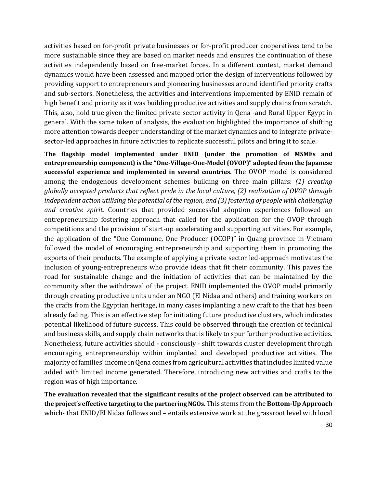activities based on for-profit private businesses or for-profit producer cooperatives tend to be more sustainable since they are based on market needs and ensures the continuation of these activities independently based on free-market forces. In a different context, market demand dynamics would have been assessed and mapped prior the design of interventions followed by providing support to entrepreneurs and pioneering businesses around identified priority crafts and sub-sectors. Nonetheless, the activities and interventions implemented by ENID remain of high benefit and priority as it was building productive activities and supply chains from scratch. This, also, hold true given the limited private sector activity in Qena -and Rural Upper Egypt in general. With the same token of analysis, the evaluation highlighted the importance of shifting more attention towards deeper understanding of the market dynamics and to integrate privatesector-led approaches in future activities to replicate successful pilots and bring it to scale.

**The flagship model implemented under ENID (under the promotion of MSMEs and entrepreneurship component) is the "One-Village-One-Model (OVOP)" adopted from the Japanese successful experience and implemented in several countries.** The OVOP model is considered among the endogenous development schemes building on three main pillars: *(1) creating globally accepted products that reflect pride in the local culture, (2) realisation of OVOP through independent action utilising the potential of the region, and (3) fostering of people with challenging and creative spirit.* Countries that provided successful adoption experiences followed an entrepreneurship fostering approach that called for the application for the OVOP through competitions and the provision of start-up accelerating and supporting activities. For example, the application of the "One Commune, One Producer (OCOP)" in Quang province in Vietnam followed the model of encouraging entrepreneurship and supporting them in promoting the exports of their products. The example of applying a private sector led-approach motivates the inclusion of young-entrepreneurs who provide ideas that fit their community. This paves the road for sustainable change and the initiation of activities that can be maintained by the community after the withdrawal of the project. ENID implemented the OVOP model primarily through creating productive units under an NGO (El Nidaa and others) and training workers on the crafts from the Egyptian heritage, in many cases implanting a new craft to the that has been already fading. This is an effective step for initiating future productive clusters, which indicates potential likelihood of future success. This could be observed through the creation of technical and business skills, and supply chain networks that is likely to spur further productive activities. Nonetheless, future activities should - consciously - shift towards cluster development through encouraging entrepreneurship within implanted and developed productive activities. The majority of families' income in Qena comes from agricultural activities that includes limited value added with limited income generated. Therefore, introducing new activities and crafts to the region was of high importance.

**The evaluation revealed that the significant results of the project observed can be attributed to the project's effective targeting to the partnering NGOs.** This stems from the **Bottom-Up Approach** which- that ENID/El Nidaa follows and – entails extensive work at the grassroot level with local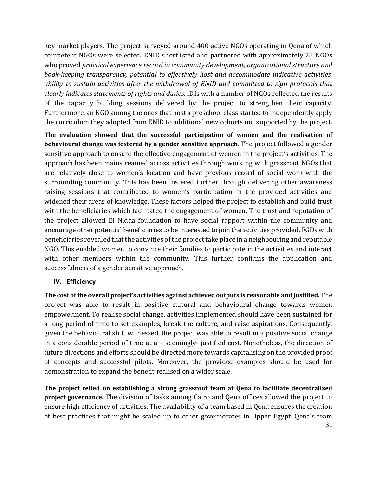key market players. The project surveyed around 400 active NGOs operating in Qena of which competent NGOs were selected. ENID shortlisted and partnered with approximately 75 NGOs who proved *practical experience record in community development, organizational structure and book-keeping transparency, potential to effectively host and accommodate indicative activities, ability to sustain activities after the withdrawal of ENID and committed to sign protocols that clearly indicates statements of rights and duties.* IDIs with a number of NGOs reflected the results of the capacity building sessions delivered by the project to strengthen their capacity. Furthermore, an NGO among the ones that host a preschool class started to independently apply the curriculum they adopted from ENID to additional new cohorts not supported by the project.

**The evaluation showed that the successful participation of women and the realisation of behavioural change was fostered by a gender sensitive approach**. The project followed a gender sensitive approach to ensure the effective engagement of women in the project's activities. The approach has been mainstreamed across activities through working with grassroot NGOs that are relatively close to women's location and have previous record of social work with the surrounding community. This has been fostered further through delivering other awareness raising sessions that contributed to women's participation in the provided activities and widened their areas of knowledge. These factors helped the project to establish and build trust with the beneficiaries which facilitated the engagement of women. The trust and reputation of the project allowed El Nidaa foundation to have social rapport within the community and encourage other potential beneficiaries to be interested to join the activities provided. FGDs with beneficiaries revealed that the activities of the project take place in a neighbouring and reputable NGO. This enabled women to convince their families to participate in the activities and interact with other members within the community. This further confirms the application and successfulness of a gender sensitive approach.

#### <span id="page-31-0"></span>**IV. Efficiency**

**The cost of the overall project's activities against achieved outputs is reasonable and justified.** The project was able to result in positive cultural and behavioural change towards women empowerment. To realise social change, activities implemented should have been sustained for a long period of time to set examples, break the culture, and raise aspirations. Consequently, given the behavioural shift witnessed, the project was able to result in a positive social change in a considerable period of time at a – seemingly- justified cost. Nonetheless, the direction of future directions and efforts should be directed more towards capitalising on the provided proof of concepts and successful pilots. Moreover, the provided examples should be used for demonstration to expand the benefit realised on a wider scale.

31 **The project relied on establishing a strong grassroot team at Qena to facilitate decentralized project governance.** The division of tasks among Cairo and Qena offices allowed the project to ensure high efficiency of activities. The availability of a team based in Qena ensures the creation of best practices that might be scaled up to other governorates in Upper Egypt. Qena's team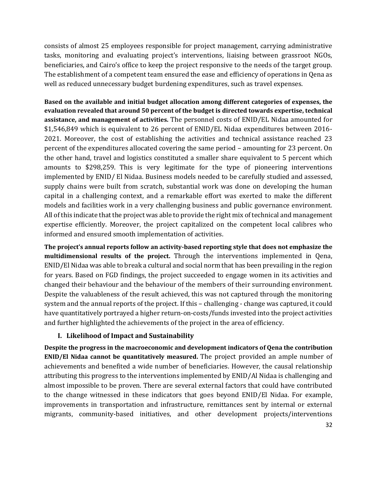consists of almost 25 employees responsible for project management, carrying administrative tasks, monitoring and evaluating project's interventions, liaising between grassroot NGOs, beneficiaries, and Cairo's office to keep the project responsive to the needs of the target group. The establishment of a competent team ensured the ease and efficiency of operations in Qena as well as reduced unnecessary budget burdening expenditures, such as travel expenses.

**Based on the available and initial budget allocation among different categories of expenses, the evaluation revealed that around 50 percent of the budget is directed towards expertise, technical assistance, and management of activities.** The personnel costs of ENID/EL Nidaa amounted for \$1,546,849 which is equivalent to 26 percent of ENID/EL Nidaa expenditures between 2016- 2021. Moreover, the cost of establishing the activities and technical assistance reached 23 percent of the expenditures allocated covering the same period – amounting for 23 percent. On the other hand, travel and logistics constituted a smaller share equivalent to 5 percent which amounts to \$298,259. This is very legitimate for the type of pioneering interventions implemented by ENID/ El Nidaa. Business models needed to be carefully studied and assessed, supply chains were built from scratch, substantial work was done on developing the human capital in a challenging context, and a remarkable effort was exerted to make the different models and facilities work in a very challenging business and public governance environment. All of this indicate that the project was able to provide the right mix of technical and management expertise efficiently. Moreover, the project capitalized on the competent local calibres who informed and ensured smooth implementation of activities.

**The project's annual reports follow an activity-based reporting style that does not emphasize the multidimensional results of the project.** Through the interventions implemented in Qena, ENID/El Nidaa was able to break a cultural and social norm that has been prevailing in the region for years. Based on FGD findings, the project succeeded to engage women in its activities and changed their behaviour and the behaviour of the members of their surrounding environment. Despite the valuableness of the result achieved, this was not captured through the monitoring system and the annual reports of the project. If this – challenging - change was captured, it could have quantitatively portrayed a higher return-on-costs/funds invested into the project activities and further highlighted the achievements of the project in the area of efficiency.

#### **I. Likelihood of Impact and Sustainability**

<span id="page-32-0"></span>**Despite the progress in the macroeconomic and development indicators of Qena the contribution ENID/El Nidaa cannot be quantitatively measured.** The project provided an ample number of achievements and benefited a wide number of beneficiaries. However, the causal relationship attributing this progress to the interventions implemented by ENID/Al Nidaa is challenging and almost impossible to be proven. There are several external factors that could have contributed to the change witnessed in these indicators that goes beyond ENID/El Nidaa. For example, improvements in transportation and infrastructure, remittances sent by internal or external migrants, community-based initiatives, and other development projects/interventions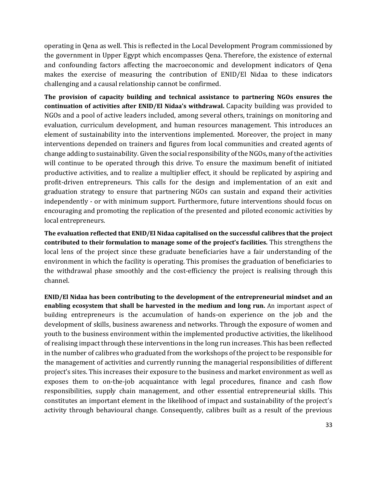operating in Qena as well. This is reflected in the Local Development Program commissioned by the government in Upper Egypt which encompasses Qena. Therefore, the existence of external and confounding factors affecting the macroeconomic and development indicators of Qena makes the exercise of measuring the contribution of ENID/El Nidaa to these indicators challenging and a causal relationship cannot be confirmed.

**The provision of capacity building and technical assistance to partnering NGOs ensures the continuation of activities after ENID/El Nidaa's withdrawal.** Capacity building was provided to NGOs and a pool of active leaders included, among several others, trainings on monitoring and evaluation, curriculum development, and human resources management. This introduces an element of sustainability into the interventions implemented. Moreover, the project in many interventions depended on trainers and figures from local communities and created agents of change adding to sustainability. Given the social responsibility of the NGOs, many of the activities will continue to be operated through this drive. To ensure the maximum benefit of initiated productive activities, and to realize a multiplier effect, it should be replicated by aspiring and profit-driven entrepreneurs. This calls for the design and implementation of an exit and graduation strategy to ensure that partnering NGOs can sustain and expand their activities independently - or with minimum support. Furthermore, future interventions should focus on encouraging and promoting the replication of the presented and piloted economic activities by local entrepreneurs.

**The evaluation reflected that ENID/El Nidaa capitalised on the successful calibres that the project contributed to their formulation to manage some of the project's facilities.** This strengthens the local lens of the project since these graduate beneficiaries have a fair understanding of the environment in which the facility is operating. This promises the graduation of beneficiaries to the withdrawal phase smoothly and the cost-efficiency the project is realising through this channel.

**ENID/El Nidaa has been contributing to the development of the entrepreneurial mindset and an enabling ecosystem that shall be harvested in the medium and long run.** An important aspect of building entrepreneurs is the accumulation of hands-on experience on the job and the development of skills, business awareness and networks. Through the exposure of women and youth to the business environment within the implemented productive activities, the likelihood of realising impact through these interventions in the long run increases. This has been reflected in the number of calibres who graduated from the workshops of the project to be responsible for the management of activities and currently running the managerial responsibilities of different project's sites. This increases their exposure to the business and market environment as well as exposes them to on-the-job acquaintance with legal procedures, finance and cash flow responsibilities, supply chain management, and other essential entrepreneurial skills. This constitutes an important element in the likelihood of impact and sustainability of the project's activity through behavioural change. Consequently, calibres built as a result of the previous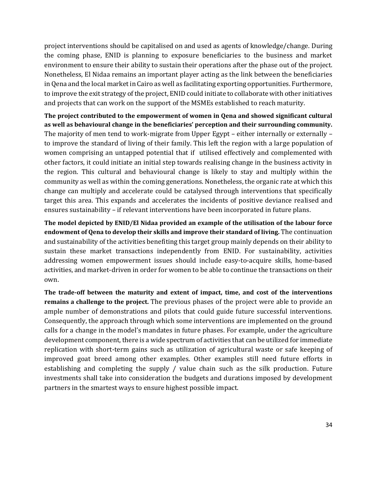project interventions should be capitalised on and used as agents of knowledge/change. During the coming phase, ENID is planning to exposure beneficiaries to the business and market environment to ensure their ability to sustain their operations after the phase out of the project. Nonetheless, El Nidaa remains an important player acting as the link between the beneficiaries in Qena and the local market in Cairo as well as facilitating exporting opportunities. Furthermore, to improve the exit strategy of the project, ENID could initiate to collaborate with other initiatives and projects that can work on the support of the MSMEs established to reach maturity.

**The project contributed to the empowerment of women in Qena and showed significant cultural as well as behavioural change in the beneficiaries' perception and their surrounding community.** The majority of men tend to work-migrate from Upper Egypt – either internally or externally – to improve the standard of living of their family. This left the region with a large population of women comprising an untapped potential that if utilised effectively and complemented with other factors, it could initiate an initial step towards realising change in the business activity in the region. This cultural and behavioural change is likely to stay and multiply within the community as well as within the coming generations. Nonetheless, the organic rate at which this change can multiply and accelerate could be catalysed through interventions that specifically target this area. This expands and accelerates the incidents of positive deviance realised and ensures sustainability – if relevant interventions have been incorporated in future plans.

**The model depicted by ENID/El Nidaa provided an example of the utilisation of the labour force endowment of Qena to develop their skills and improve their standard of living.** The continuation and sustainability of the activities benefiting this target group mainly depends on their ability to sustain these market transactions independently from ENID. For sustainability, activities addressing women empowerment issues should include easy-to-acquire skills, home-based activities, and market-driven in order for women to be able to continue the transactions on their own.

**The trade-off between the maturity and extent of impact, time, and cost of the interventions remains a challenge to the project.** The previous phases of the project were able to provide an ample number of demonstrations and pilots that could guide future successful interventions. Consequently, the approach through which some interventions are implemented on the ground calls for a change in the model's mandates in future phases. For example, under the agriculture development component, there is a wide spectrum of activities that can be utilized for immediate replication with short-term gains such as utilization of agricultural waste or safe keeping of improved goat breed among other examples. Other examples still need future efforts in establishing and completing the supply / value chain such as the silk production. Future investments shall take into consideration the budgets and durations imposed by development partners in the smartest ways to ensure highest possible impact.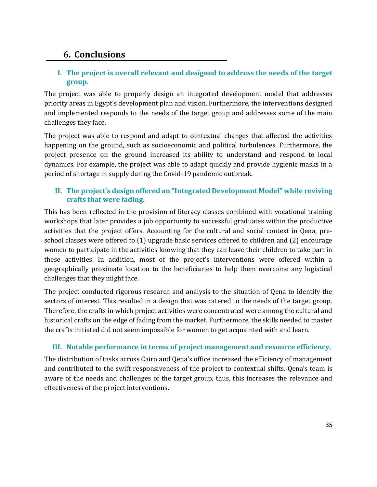### <span id="page-35-0"></span>**6. Conclusions**

#### **I. The project is overall relevant and designed to address the needs of the target group.**

The project was able to properly design an integrated development model that addresses priority areas in Egypt's development plan and vision. Furthermore, the interventions designed and implemented responds to the needs of the target group and addresses some of the main challenges they face.

The project was able to respond and adapt to contextual changes that affected the activities happening on the ground, such as socioeconomic and political turbulences. Furthermore, the project presence on the ground increased its ability to understand and respond to local dynamics. For example, the project was able to adapt quickly and provide hygienic masks in a period of shortage in supply during the Covid-19 pandemic outbreak.

#### **II. The project's design offered an "Integrated Development Model" while reviving crafts that were fading.**

This has been reflected in the provision of literacy classes combined with vocational training workshops that later provides a job opportunity to successful graduates within the productive activities that the project offers. Accounting for the cultural and social context in Qena, preschool classes were offered to (1) upgrade basic services offered to children and (2) encourage women to participate in the activities knowing that they can leave their children to take part in these activities. In addition, most of the project's interventions were offered within a geographically proximate location to the beneficiaries to help them overcome any logistical challenges that they might face.

The project conducted rigorous research and analysis to the situation of Qena to identify the sectors of interest. This resulted in a design that was catered to the needs of the target group. Therefore, the crafts in which project activities were concentrated were among the cultural and historical crafts on the edge of fading from the market. Furthermore, the skills needed to master the crafts initiated did not seem impossible for women to get acquainted with and learn.

#### **III. Notable performance in terms of project management and resource efficiency.**

The distribution of tasks across Cairo and Qena's office increased the efficiency of management and contributed to the swift responsiveness of the project to contextual shifts. Qena's team is aware of the needs and challenges of the target group, thus, this increases the relevance and effectiveness of the project interventions.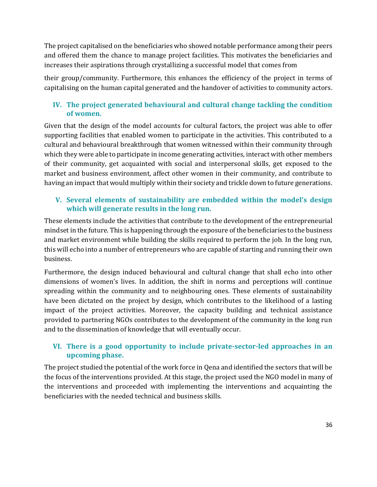The project capitalised on the beneficiaries who showed notable performance among their peers and offered them the chance to manage project facilities. This motivates the beneficiaries and increases their aspirations through crystallizing a successful model that comes from

their group/community. Furthermore, this enhances the efficiency of the project in terms of capitalising on the human capital generated and the handover of activities to community actors.

#### **IV. The project generated behavioural and cultural change tackling the condition of women.**

Given that the design of the model accounts for cultural factors, the project was able to offer supporting facilities that enabled women to participate in the activities. This contributed to a cultural and behavioural breakthrough that women witnessed within their community through which they were able to participate in income generating activities, interact with other members of their community, get acquainted with social and interpersonal skills, get exposed to the market and business environment, affect other women in their community, and contribute to having an impact that would multiply within their society and trickle down to future generations.

#### **V. Several elements of sustainability are embedded within the model's design which will generate results in the long run.**

These elements include the activities that contribute to the development of the entrepreneurial mindset in the future. This is happening through the exposure of the beneficiaries to the business and market environment while building the skills required to perform the job. In the long run, this will echo into a number of entrepreneurs who are capable of starting and running their own business.

Furthermore, the design induced behavioural and cultural change that shall echo into other dimensions of women's lives. In addition, the shift in norms and perceptions will continue spreading within the community and to neighbouring ones. These elements of sustainability have been dictated on the project by design, which contributes to the likelihood of a lasting impact of the project activities. Moreover, the capacity building and technical assistance provided to partnering NGOs contributes to the development of the community in the long run and to the dissemination of knowledge that will eventually occur.

#### **VI. There is a good opportunity to include private-sector-led approaches in an upcoming phase.**

The project studied the potential of the work force in Qena and identified the sectors that will be the focus of the interventions provided. At this stage, the project used the NGO model in many of the interventions and proceeded with implementing the interventions and acquainting the beneficiaries with the needed technical and business skills.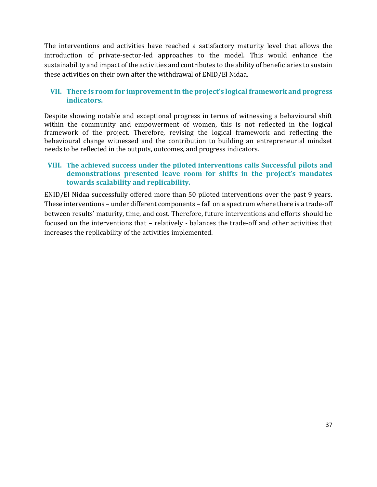The interventions and activities have reached a satisfactory maturity level that allows the introduction of private-sector-led approaches to the model. This would enhance the sustainability and impact of the activities and contributes to the ability of beneficiaries to sustain these activities on their own after the withdrawal of ENID/El Nidaa.

#### **VII. There is room for improvement in the project's logical framework and progress indicators.**

Despite showing notable and exceptional progress in terms of witnessing a behavioural shift within the community and empowerment of women, this is not reflected in the logical framework of the project. Therefore, revising the logical framework and reflecting the behavioural change witnessed and the contribution to building an entrepreneurial mindset needs to be reflected in the outputs, outcomes, and progress indicators.

#### **VIII. The achieved success under the piloted interventions calls Successful pilots and demonstrations presented leave room for shifts in the project's mandates towards scalability and replicability.**

ENID/El Nidaa successfully offered more than 50 piloted interventions over the past 9 years. These interventions – under different components – fall on a spectrum where there is a trade-off between results' maturity, time, and cost. Therefore, future interventions and efforts should be focused on the interventions that – relatively - balances the trade-off and other activities that increases the replicability of the activities implemented.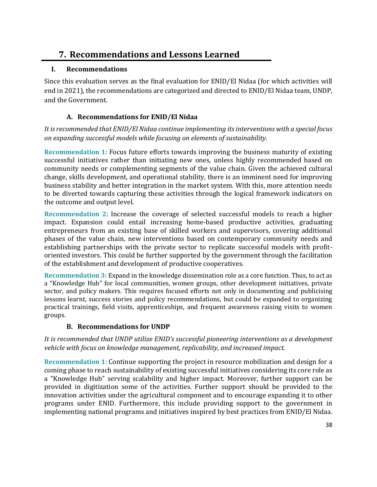### <span id="page-38-0"></span>**7. Recommendations and Lessons Learned**

#### <span id="page-38-1"></span>**I. Recommendations**

Since this evaluation serves as the final evaluation for ENID/El Nidaa (for which activities will end in 2021), the recommendations are categorized and directed to ENID/El Nidaa team, UNDP, and the Government.

#### **A. Recommendations for ENID/El Nidaa**

<span id="page-38-2"></span>*It is recommended that ENID/El Nidaa continue implementing its interventions with a special focus on expanding successful models while focusing on elements of sustainability.* 

**Recommendation 1:** Focus future efforts towards improving the business maturity of existing successful initiatives rather than initiating new ones, unless highly recommended based on community needs or complementing segments of the value chain. Given the achieved cultural change, skills development, and operational stability, there is an imminent need for improving business stability and better integration in the market system. With this, more attention needs to be diverted towards capturing these activities through the logical framework indicators on the outcome and output level.

**Recommendation 2:** Increase the coverage of selected successful models to reach a higher impact. Expansion could entail increasing home-based productive activities, graduating entrepreneurs from an existing base of skilled workers and supervisors, covering additional phases of the value chain, new interventions based on contemporary community needs and establishing partnerships with the private sector to replicate successful models with profitoriented investors. This could be further supported by the government through the facilitation of the establishment and development of productive cooperatives.

**Recommendation 3:** Expand in the knowledge dissemination role as a core function. Thus, to act as a "Knowledge Hub" for local communities, women groups, other development initiatives, private sector, and policy makers. This requires focused efforts not only in documenting and publicising lessons learnt, success stories and policy recommendations, but could be expanded to organizing practical trainings, field visits, apprenticeships, and frequent awareness raising visits to women groups.

#### **B. Recommendations for UNDP**

<span id="page-38-3"></span>*It is recommended that UNDP utilize ENID's successful pioneering interventions as a development vehicle with focus on knowledge management, replicability, and increased impact.* 

**Recommendation 1:** Continue supporting the project in resource mobilization and design for a coming phase to reach sustainability of existing successful initiatives considering its core role as a "Knowledge Hub" serving scalability and higher impact. Moreover, further support can be provided in digitization some of the activities. Further support should be provided to the innovation activities under the agricultural component and to encourage expanding it to other programs under ENID. Furthermore, this include providing support to the government in implementing national programs and initiatives inspired by best practices from ENID/El Nidaa.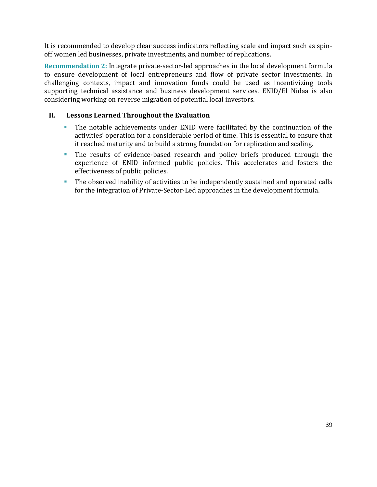It is recommended to develop clear success indicators reflecting scale and impact such as spinoff women led businesses, private investments, and number of replications.

**Recommendation 2:** Integrate private-sector-led approaches in the local development formula to ensure development of local entrepreneurs and flow of private sector investments. In challenging contexts, impact and innovation funds could be used as incentivizing tools supporting technical assistance and business development services. ENID/El Nidaa is also considering working on reverse migration of potential local investors.

#### <span id="page-39-0"></span>**II. Lessons Learned Throughout the Evaluation**

- The notable achievements under ENID were facilitated by the continuation of the activities' operation for a considerable period of time. This is essential to ensure that it reached maturity and to build a strong foundation for replication and scaling.
- The results of evidence-based research and policy briefs produced through the experience of ENID informed public policies. This accelerates and fosters the effectiveness of public policies.
- **•** The observed inability of activities to be independently sustained and operated calls for the integration of Private-Sector-Led approaches in the development formula.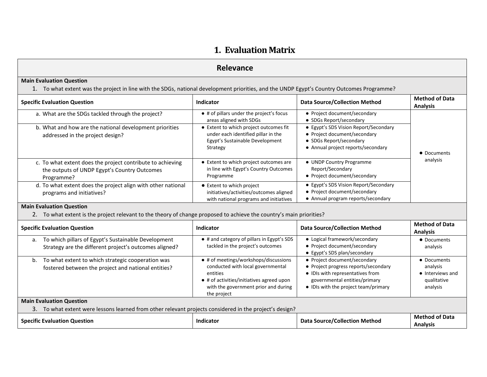### **1. Evaluation Matrix**

#### **Relevance**

#### **Main Evaluation Question**

1. To what extent was the project in line with the SDGs, national development priorities, and the UNDP Egypt's Country Outcomes Programme?

| <b>Specific Evaluation Question</b>                                                                                      | Indicator                                                                                                                    | <b>Data Source/Collection Method</b>                                                                                                   | <b>Method of Data</b><br><b>Analysis</b> |
|--------------------------------------------------------------------------------------------------------------------------|------------------------------------------------------------------------------------------------------------------------------|----------------------------------------------------------------------------------------------------------------------------------------|------------------------------------------|
| a. What are the SDGs tackled through the project?                                                                        | • # of pillars under the project's focus<br>areas aligned with SDGs                                                          | • Project document/secondary<br>• SDGs Report/secondary                                                                                |                                          |
| b. What and how are the national development priorities<br>addressed in the project design?                              | • Extent to which project outcomes fit<br>under each identified pillar in the<br>Egypt's Sustainable Development<br>Strategy | • Egypt's SDS Vision Report/Secondary<br>• Project document/secondary<br>• SDGs Report/secondary<br>• Annual project reports/secondary | • Documents                              |
| c. To what extent does the project contribute to achieving<br>the outputs of UNDP Egypt's Country Outcomes<br>Programme? | • Extent to which project outcomes are<br>in line with Egypt's Country Outcomes<br>Programme                                 | • UNDP Country Programme<br>Report/Secondary<br>• Project document/secondary                                                           | analysis                                 |
| d. To what extent does the project align with other national<br>programs and initiatives?                                | ● Extent to which project<br>initiatives/activities/outcomes aligned<br>with national programs and initiatives               | • Egypt's SDS Vision Report/Secondary<br>• Project document/secondary<br>• Annual program reports/secondary                            |                                          |

#### **Main Evaluation Question**

2. To what extent is the project relevant to the theory of change proposed to achieve the country's main priorities?

| <b>Specific Evaluation Question</b>                                                                                 | Indicator                                                                                                                                                                                  | <b>Data Source/Collection Method</b>                                                                                                                                              | <b>Method of Data</b><br><b>Analysis</b>                               |  |  |
|---------------------------------------------------------------------------------------------------------------------|--------------------------------------------------------------------------------------------------------------------------------------------------------------------------------------------|-----------------------------------------------------------------------------------------------------------------------------------------------------------------------------------|------------------------------------------------------------------------|--|--|
| To which pillars of Egypt's Sustainable Development<br>а.<br>Strategy are the different project's outcomes aligned? | • # and category of pillars in Egypt's SDS<br>tackled in the project's outcomes                                                                                                            | • Logical framework/secondary<br>• Project document/secondary<br>• Egypt's SDS plan/secondary                                                                                     | • Documents<br>analysis                                                |  |  |
| b. To what extent to which strategic cooperation was<br>fostered between the project and national entities?         | • # of meetings/workshops/discussions<br>conducted with local governmental<br>entities<br>• # of activities/initiatives agreed upon<br>with the government prior and during<br>the project | • Project document/secondary<br>• Project progress reports/secondary<br>• IDIs with representatives from<br>governmental entities/primary<br>• IDIs with the project team/primary | • Documents<br>analysis<br>• Interviews and<br>qualitative<br>analysis |  |  |
| <b>Main Evaluation Question</b>                                                                                     |                                                                                                                                                                                            |                                                                                                                                                                                   |                                                                        |  |  |
| 3. To what extent were lessons learned from other relevant projects considered in the project's design?             |                                                                                                                                                                                            |                                                                                                                                                                                   |                                                                        |  |  |
| <b>Specific Evaluation Question</b>                                                                                 | Indicator                                                                                                                                                                                  | <b>Data Source/Collection Method</b>                                                                                                                                              | <b>Method of Data</b><br><b>Analysis</b>                               |  |  |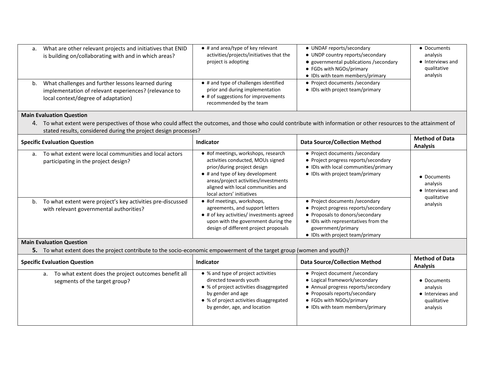| a. | What are other relevant projects and initiatives that ENID<br>is building on/collaborating with and in which areas?                                | $\bullet$ # and area/type of key relevant<br>activities/projects/initiatives that the<br>project is adopting                               | • UNDAF reports/secondary<br>• UNDP country reports/secondary<br>• governmental publications / secondary<br>• FGDs with NGOs/primary<br>• IDIs with team members/primary | • Documents<br>analysis<br>• Interviews and<br>qualitative<br>analysis |
|----|----------------------------------------------------------------------------------------------------------------------------------------------------|--------------------------------------------------------------------------------------------------------------------------------------------|--------------------------------------------------------------------------------------------------------------------------------------------------------------------------|------------------------------------------------------------------------|
| b. | What challenges and further lessons learned during<br>implementation of relevant experiences? (relevance to<br>local context/degree of adaptation) | • # and type of challenges identified<br>prior and during implementation<br>• # of suggestions for improvements<br>recommended by the team | • Project documents / secondary<br>• IDIs with project team/primary                                                                                                      |                                                                        |

4. To what extent were perspectives of those who could affect the outcomes, and those who could contribute with information or other resources to the attainment of stated results, considered during the project design processes?

| <b>Specific Evaluation Question</b>                                                                         | Indicator                                                                                                                                                                                                                                                     | <b>Data Source/Collection Method</b>                                                                                                                                                                         | <b>Method of Data</b><br><b>Analysis</b>    |
|-------------------------------------------------------------------------------------------------------------|---------------------------------------------------------------------------------------------------------------------------------------------------------------------------------------------------------------------------------------------------------------|--------------------------------------------------------------------------------------------------------------------------------------------------------------------------------------------------------------|---------------------------------------------|
| To what extent were local communities and local actors<br>a.<br>participating in the project design?        | • #of meetings, workshops, research<br>activities conducted, MOUs signed<br>prior/during project design<br>$\bullet$ # and type of key development<br>areas/project activities/investments<br>aligned with local communities and<br>local actors' initiatives | • Project documents / secondary<br>• Project progress reports/secondary<br>• IDIs with local communities/primary<br>• IDIs with project team/primary                                                         | • Documents<br>analysis<br>• Interviews and |
| To what extent were project's key activities pre-discussed<br>b.<br>with relevant governmental authorities? | • #of meetings, workshops,<br>agreements, and support letters<br>• # of key activities/ investments agreed<br>upon with the government during the<br>design of different project proposals                                                                    | • Project documents / secondary<br>• Project progress reports/secondary<br>• Proposals to donors/secondary<br>• IDIs with representatives from the<br>government/primary<br>• IDIs with project team/primary | qualitative<br>analysis                     |

#### **Main Evaluation Question**

**5.** To what extent does the project contribute to the socio-economic empowerment of the target group (women and youth)?

| <b>Specific Evaluation Question</b>                                                         | Indicator                                                                                                                                                                                               | <b>Data Source/Collection Method</b>                                                                                                                                                                   | <b>Method of Data</b><br><b>Analysis</b>                               |
|---------------------------------------------------------------------------------------------|---------------------------------------------------------------------------------------------------------------------------------------------------------------------------------------------------------|--------------------------------------------------------------------------------------------------------------------------------------------------------------------------------------------------------|------------------------------------------------------------------------|
| To what extent does the project outcomes benefit all<br>a.<br>segments of the target group? | • % and type of project activities<br>directed towards youth<br>• % of project activities disaggregated<br>by gender and age<br>• % of project activities disaggregated<br>by gender, age, and location | • Project document /secondary<br>• Logical framework/secondary<br>• Annual progress reports/secondary<br>• Proposals reports/secondary<br>• FGDs with NGOs/primary<br>• IDIs with team members/primary | • Documents<br>analysis<br>• Interviews and<br>qualitative<br>analysis |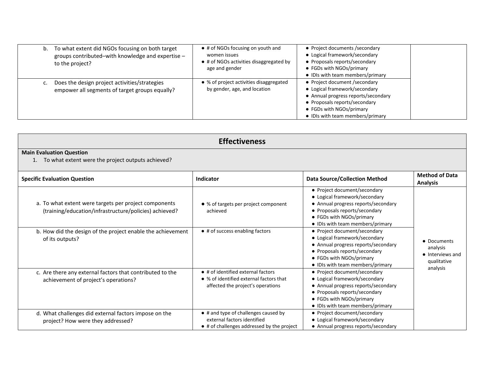| To what extent did NGOs focusing on both target<br>b.<br>groups contributed-with knowledge and expertise -<br>to the project? | • # of NGOs focusing on youth and<br>women issues<br>• # of NGOs activities disaggregated by<br>age and gender | • Project documents / secondary<br>• Logical framework/secondary<br>• Proposals reports/secondary<br>• FGDs with NGOs/primary<br>• IDIs with team members/primary                                      |  |
|-------------------------------------------------------------------------------------------------------------------------------|----------------------------------------------------------------------------------------------------------------|--------------------------------------------------------------------------------------------------------------------------------------------------------------------------------------------------------|--|
| Does the design project activities/strategies<br>c.<br>empower all segments of target groups equally?                         | • % of project activities disaggregated<br>by gender, age, and location                                        | • Project document /secondary<br>• Logical framework/secondary<br>• Annual progress reports/secondary<br>• Proposals reports/secondary<br>• FGDs with NGOs/primary<br>• IDIs with team members/primary |  |

| <b>Effectiveness</b>                                                                                            |                                                                                                                           |                                                                                                                                                                                                       |                                                            |
|-----------------------------------------------------------------------------------------------------------------|---------------------------------------------------------------------------------------------------------------------------|-------------------------------------------------------------------------------------------------------------------------------------------------------------------------------------------------------|------------------------------------------------------------|
| <b>Main Evaluation Question</b><br>To what extent were the project outputs achieved?                            |                                                                                                                           |                                                                                                                                                                                                       |                                                            |
| <b>Specific Evaluation Question</b>                                                                             | Indicator                                                                                                                 | <b>Data Source/Collection Method</b>                                                                                                                                                                  | <b>Method of Data</b><br><b>Analysis</b>                   |
| a. To what extent were targets per project components<br>(training/education/infrastructure/policies) achieved? | • % of targets per project component<br>achieved                                                                          | • Project document/secondary<br>• Logical framework/secondary<br>• Annual progress reports/secondary<br>• Proposals reports/secondary<br>• FGDs with NGOs/primary<br>• IDIs with team members/primary |                                                            |
| b. How did the design of the project enable the achievement<br>of its outputs?                                  | • # of success enabling factors                                                                                           | • Project document/secondary<br>• Logical framework/secondary<br>• Annual progress reports/secondary<br>• Proposals reports/secondary<br>• FGDs with NGOs/primary<br>• IDIs with team members/primary | • Documents<br>analysis<br>• Interviews and<br>qualitative |
| c. Are there any external factors that contributed to the<br>achievement of project's operations?               | • # of identified external factors<br>• % of identified external factors that<br>affected the project's operations        | • Project document/secondary<br>• Logical framework/secondary<br>• Annual progress reports/secondary<br>• Proposals reports/secondary<br>• FGDs with NGOs/primary<br>• IDIs with team members/primary | analysis                                                   |
| d. What challenges did external factors impose on the<br>project? How were they addressed?                      | • # and type of challenges caused by<br>external factors identified<br>$\bullet$ # of challenges addressed by the project | • Project document/secondary<br>• Logical framework/secondary<br>• Annual progress reports/secondary                                                                                                  |                                                            |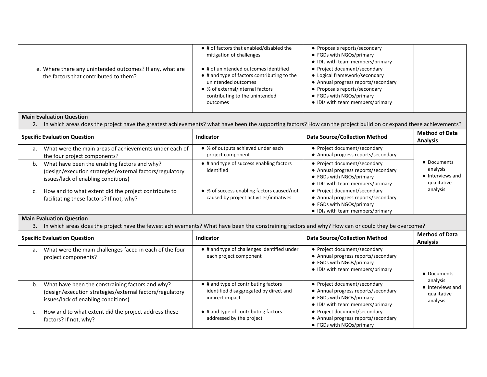|                                                                                                   | • # of factors that enabled/disabled the<br>mitigation of challenges                                                                                                                          | • Proposals reports/secondary<br>• FGDs with NGOs/primary<br>• IDIs with team members/primary                                                                                                         |  |
|---------------------------------------------------------------------------------------------------|-----------------------------------------------------------------------------------------------------------------------------------------------------------------------------------------------|-------------------------------------------------------------------------------------------------------------------------------------------------------------------------------------------------------|--|
| e. Where there any unintended outcomes? If any, what are<br>the factors that contributed to them? | • # of unintended outcomes identified<br>• # and type of factors contributing to the<br>unintended outcomes<br>• % of external/internal factors<br>contributing to the unintended<br>outcomes | • Project document/secondary<br>• Logical framework/secondary<br>• Annual progress reports/secondary<br>• Proposals reports/secondary<br>• FGDs with NGOs/primary<br>• IDIs with team members/primary |  |

2. In which areas does the project have the greatest achievements? what have been the supporting factors? How can the project build on or expand these achievements?

| <b>Specific Evaluation Question</b>                                                                                                                   | <b>Indicator</b>                                                                       | <b>Data Source/Collection Method</b>                                                                                                | <b>Method of Data</b><br><b>Analysis</b>                   |
|-------------------------------------------------------------------------------------------------------------------------------------------------------|----------------------------------------------------------------------------------------|-------------------------------------------------------------------------------------------------------------------------------------|------------------------------------------------------------|
| What were the main areas of achievements under each of<br>a.<br>the four project components?                                                          | • % of outputs achieved under each<br>project component                                | • Project document/secondary<br>• Annual progress reports/secondary                                                                 |                                                            |
| What have been the enabling factors and why?<br>b.<br>(design/execution strategies/external factors/regulatory<br>issues/lack of enabling conditions) | • # and type of success enabling factors<br>identified                                 | • Project document/secondary<br>• Annual progress reports/secondary<br>• FGDs with NGOs/primary<br>• IDIs with team members/primary | • Documents<br>analysis<br>• Interviews and<br>qualitative |
| How and to what extent did the project contribute to<br>facilitating these factors? If not, why?                                                      | • % of success enabling factors caused/not<br>caused by project activities/initiatives | • Project document/secondary<br>• Annual progress reports/secondary<br>• FGDs with NGOs/primary<br>• IDIs with team members/primary | analysis                                                   |

#### **Main Evaluation Question**

3. In which areas does the project have the fewest achievements? What have been the constraining factors and why? How can or could they be overcome?

|    | <b>Specific Evaluation Question</b>                                                                                                                 | Indicator                                                                                                 | <b>Data Source/Collection Method</b>                                                                                                | <b>Method of Data</b><br><b>Analysis</b>                |
|----|-----------------------------------------------------------------------------------------------------------------------------------------------------|-----------------------------------------------------------------------------------------------------------|-------------------------------------------------------------------------------------------------------------------------------------|---------------------------------------------------------|
| а. | What were the main challenges faced in each of the four<br>project components?                                                                      | • # and type of challenges identified under<br>each project component                                     | • Project document/secondary<br>• Annual progress reports/secondary<br>• FGDs with NGOs/primary<br>• IDIs with team members/primary | • Documents                                             |
| b. | What have been the constraining factors and why?<br>(design/execution strategies/external factors/regulatory<br>issues/lack of enabling conditions) | $\bullet$ # and type of contributing factors<br>identified disaggregated by direct and<br>indirect impact | • Project document/secondary<br>• Annual progress reports/secondary<br>• FGDs with NGOs/primary<br>• IDIs with team members/primary | analysis<br>• Interviews and<br>qualitative<br>analysis |
|    | How and to what extent did the project address these<br>factors? If not, why?                                                                       | $\bullet$ # and type of contributing factors<br>addressed by the project                                  | • Project document/secondary<br>• Annual progress reports/secondary<br>• FGDs with NGOs/primary                                     |                                                         |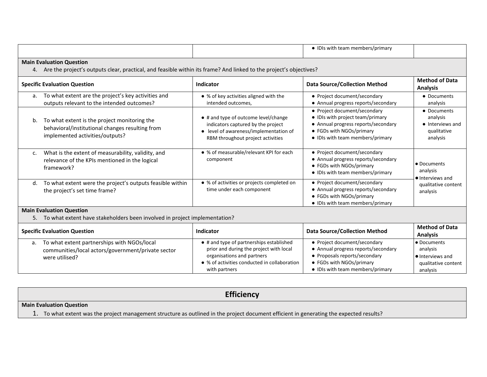|                                                                                                                                                          |                                                                                                                                    |                                                                                                                                                                                    | • IDIs with team members/primary                                                                                                                                        |                                                                                |  |
|----------------------------------------------------------------------------------------------------------------------------------------------------------|------------------------------------------------------------------------------------------------------------------------------------|------------------------------------------------------------------------------------------------------------------------------------------------------------------------------------|-------------------------------------------------------------------------------------------------------------------------------------------------------------------------|--------------------------------------------------------------------------------|--|
| <b>Main Evaluation Question</b><br>4. Are the project's outputs clear, practical, and feasible within its frame? And linked to the project's objectives? |                                                                                                                                    |                                                                                                                                                                                    |                                                                                                                                                                         |                                                                                |  |
|                                                                                                                                                          | <b>Specific Evaluation Question</b>                                                                                                | Indicator                                                                                                                                                                          | <b>Data Source/Collection Method</b>                                                                                                                                    | <b>Method of Data</b><br><b>Analysis</b>                                       |  |
| a.                                                                                                                                                       | To what extent are the project's key activities and<br>outputs relevant to the intended outcomes?                                  | • % of key activities aligned with the<br>intended outcomes,                                                                                                                       | • Project document/secondary<br>• Annual progress reports/secondary                                                                                                     | • Documents<br>analysis                                                        |  |
| b.                                                                                                                                                       | To what extent is the project monitoring the<br>behavioral/institutional changes resulting from<br>implemented activities/outputs? | • # and type of outcome level/change<br>indicators captured by the project<br>• level of awareness/implementation of<br>RBM throughout project activities                          | • Project document/secondary<br>• IDIs with project team/primary<br>• Annual progress reports/secondary<br>• FGDs with NGOs/primary<br>• IDIs with team members/primary | • Documents<br>analysis<br>• Interviews and<br>qualitative<br>analysis         |  |
| C <sub>1</sub>                                                                                                                                           | What is the extent of measurability, validity, and<br>relevance of the KPIs mentioned in the logical<br>framework?                 | • % of measurable/relevant KPI for each<br>component                                                                                                                               | • Project document/secondary<br>• Annual progress reports/secondary<br>• FGDs with NGOs/primary<br>• IDIs with team members/primary                                     | • Documents<br>analysis<br>• Interviews and                                    |  |
| d.                                                                                                                                                       | To what extent were the project's outputs feasible within<br>the project's set time frame?                                         | • % of activities or projects completed on<br>time under each component                                                                                                            | • Project document/secondary<br>• Annual progress reports/secondary<br>• FGDs with NGOs/primary<br>• IDIs with team members/primary                                     | qualitative content<br>analysis                                                |  |
|                                                                                                                                                          | <b>Main Evaluation Question</b><br>5. To what extent have stakeholders been involved in project implementation?                    |                                                                                                                                                                                    |                                                                                                                                                                         |                                                                                |  |
|                                                                                                                                                          | <b>Specific Evaluation Question</b>                                                                                                | Indicator                                                                                                                                                                          | <b>Data Source/Collection Method</b>                                                                                                                                    | <b>Method of Data</b><br><b>Analysis</b>                                       |  |
| a.                                                                                                                                                       | To what extent partnerships with NGOs/local<br>communities/local actors/government/private sector<br>were utilised?                | • # and type of partnerships established<br>prior and during the project with local<br>organisations and partners<br>• % of activities conducted in collaboration<br>with partners | • Project document/secondary<br>• Annual progress reports/secondary<br>• Proposals reports/secondary<br>• FGDs with NGOs/primary<br>• IDIs with team members/primary    | • Documents<br>analysis<br>· Interviews and<br>qualitative content<br>analysis |  |

**Efficiency**

**Main Evaluation Question**

1. To what extent was the project management structure as outlined in the project document efficient in generating the expected results?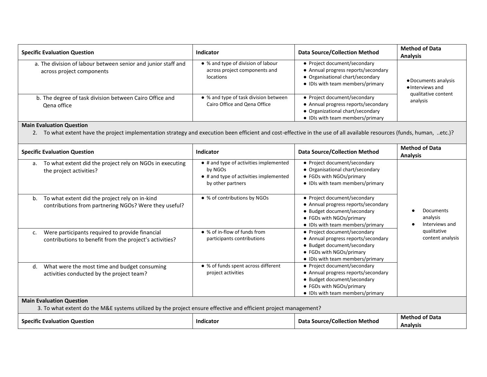| <b>Specific Evaluation Question</b>                                                        | <b>Indicator</b>                                                                 | <b>Data Source/Collection Method</b>                                                                                                        | <b>Method of Data</b><br><b>Analysis</b> |
|--------------------------------------------------------------------------------------------|----------------------------------------------------------------------------------|---------------------------------------------------------------------------------------------------------------------------------------------|------------------------------------------|
| a. The division of labour between senior and junior staff and<br>across project components | • % and type of division of labour<br>across project components and<br>locations | • Project document/secondary<br>• Annual progress reports/secondary<br>• Organisational chart/secondary<br>• IDIs with team members/primary | • Documents analysis<br>• Interviews and |
| b. The degree of task division between Cairo Office and<br>Qena office                     | • % and type of task division between<br>Cairo Office and Qena Office            | • Project document/secondary<br>• Annual progress reports/secondary<br>• Organizational chart/secondary<br>• IDIs with team members/primary | qualitative content<br>analysis          |

2. To what extent have the project implementation strategy and execution been efficient and cost-effective in the use of all available resources (funds, human, ..etc.)?

| <b>Specific Evaluation Question</b>                                                                                                                | Indicator                                                                                                        | <b>Data Source/Collection Method</b>                                                                                                                               | <b>Method of Data</b><br><b>Analysis</b> |  |
|----------------------------------------------------------------------------------------------------------------------------------------------------|------------------------------------------------------------------------------------------------------------------|--------------------------------------------------------------------------------------------------------------------------------------------------------------------|------------------------------------------|--|
| To what extent did the project rely on NGOs in executing<br>a.<br>the project activities?                                                          | • # and type of activities implemented<br>by NGOs<br>• # and type of activities implemented<br>by other partners | • Project document/secondary<br>• Organisational chart/secondary<br>• FGDs with NGOs/primary<br>• IDIs with team members/primary                                   |                                          |  |
| To what extent did the project rely on in-kind<br>b.<br>contributions from partnering NGOs? Were they useful?                                      | • % of contributions by NGOs                                                                                     | • Project document/secondary<br>• Annual progress reports/secondary<br>• Budget document/secondary<br>• FGDs with NGOs/primary<br>• IDIs with team members/primary | Documents<br>analysis<br>Interviews and  |  |
| Were participants required to provide financial<br>c.<br>contributions to benefit from the project's activities?                                   | • % of in-flow of funds from<br>participants contributions                                                       | • Project document/secondary<br>• Annual progress reports/secondary<br>• Budget document/secondary<br>• FGDs with NGOs/primary<br>• IDIs with team members/primary | qualitative<br>content analysis          |  |
| What were the most time and budget consuming<br>d.<br>activities conducted by the project team?                                                    | • % of funds spent across different<br>project activities                                                        | • Project document/secondary<br>• Annual progress reports/secondary<br>• Budget document/secondary<br>• FGDs with NGOs/primary<br>• IDIs with team members/primary |                                          |  |
| <b>Main Evaluation Question</b><br>3. To what extent do the M&E systems utilized by the project ensure effective and efficient project management? |                                                                                                                  |                                                                                                                                                                    |                                          |  |
| <b>Specific Evaluation Question</b>                                                                                                                | Indicator                                                                                                        | <b>Data Source/Collection Method</b>                                                                                                                               | <b>Method of Data</b><br><b>Analysis</b> |  |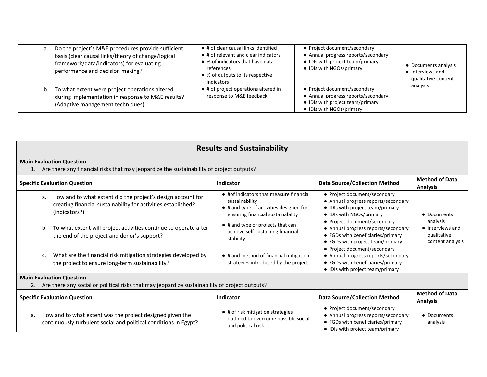| a. Do the project's M&E procedures provide sufficient<br>basis (clear causal links/theory of change/logical<br>framework/data/indicators) for evaluating<br>performance and decision making? | • # of clear causal links identified<br>• # of relevant and clear indicators<br>• % of indicators that have data<br>references<br>• % of outputs to its respective<br>indicators | • Project document/secondary<br>• Annual progress reports/secondary<br>• IDIs with project team/primary<br>• IDIs with NGOs/primary | • Documents analysis<br>• Interviews and<br>qualitative content |
|----------------------------------------------------------------------------------------------------------------------------------------------------------------------------------------------|----------------------------------------------------------------------------------------------------------------------------------------------------------------------------------|-------------------------------------------------------------------------------------------------------------------------------------|-----------------------------------------------------------------|
| b. To what extent were project operations altered<br>during implementation in response to M&E results?<br>(Adaptive management techniques)                                                   | • # of project operations altered in<br>response to M&E feedback                                                                                                                 | • Project document/secondary<br>• Annual progress reports/secondary<br>• IDIs with project team/primary<br>• IDIs with NGOs/primary | analysis                                                        |

| <b>Results and Sustainability</b>                                                                                                                   |                                                                                                                                           |                                                                                                                                              |                                                                 |  |  |
|-----------------------------------------------------------------------------------------------------------------------------------------------------|-------------------------------------------------------------------------------------------------------------------------------------------|----------------------------------------------------------------------------------------------------------------------------------------------|-----------------------------------------------------------------|--|--|
| <b>Main Evaluation Question</b><br>1. Are there any financial risks that may jeopardize the sustainability of project outputs?                      |                                                                                                                                           |                                                                                                                                              |                                                                 |  |  |
| <b>Specific Evaluation Question</b>                                                                                                                 | Indicator                                                                                                                                 | <b>Data Source/Collection Method</b>                                                                                                         | <b>Method of Data</b><br><b>Analysis</b>                        |  |  |
| How and to what extent did the project's design account for<br>a.<br>creating financial sustainability for activities established?<br>(indicators?) | • #of indicators that measure financial<br>sustainability<br>• # and type of activities designed for<br>ensuring financial sustainability | • Project document/secondary<br>• Annual progress reports/secondary<br>• IDIs with project team/primary<br>• IDIs with NGOs/primary          | • Documents                                                     |  |  |
| To what extent will project activities continue to operate after<br>b.<br>the end of the project and donor's support?                               | • # and type of projects that can<br>achieve self-sustaining financial<br>stability                                                       | • Project document/secondary<br>• Annual progress reports/secondary<br>• FGDs with beneficiaries/primary<br>• FGDs with project team/primary | analysis<br>• Interviews and<br>qualitative<br>content analysis |  |  |
| What are the financial risk mitigation strategies developed by<br>c.<br>the project to ensure long-term sustainability?                             | • # and method of financial mitigation<br>strategies introduced by the project                                                            | • Project document/secondary<br>• Annual progress reports/secondary<br>• FGDs with beneficiaries/primary<br>• IDIs with project team/primary |                                                                 |  |  |
| <b>Main Evaluation Question</b><br>2. Are there any social or political risks that may jeopardize sustainability of project outputs?                |                                                                                                                                           |                                                                                                                                              |                                                                 |  |  |
| <b>Specific Evaluation Question</b>                                                                                                                 | Indicator                                                                                                                                 | <b>Data Source/Collection Method</b>                                                                                                         | <b>Method of Data</b><br><b>Analysis</b>                        |  |  |
| How and to what extent was the project designed given the<br>a.<br>continuously turbulent social and political conditions in Egypt?                 | • # of risk mitigation strategies<br>outlined to overcome possible social<br>and political risk                                           | • Project document/secondary<br>• Annual progress reports/secondary<br>• FGDs with beneficiaries/primary<br>• IDIs with project team/primary | • Documents<br>analysis                                         |  |  |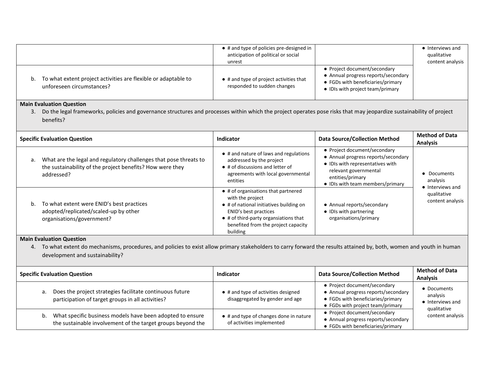|                                                                                                | $\bullet$ # and type of policies pre-designed in<br>anticipation of political or social<br>unrest |                                                                                                                                              | • Interviews and<br>qualitative<br>content analysis |
|------------------------------------------------------------------------------------------------|---------------------------------------------------------------------------------------------------|----------------------------------------------------------------------------------------------------------------------------------------------|-----------------------------------------------------|
| b. To what extent project activities are flexible or adaptable to<br>unforeseen circumstances? | $\bullet$ # and type of project activities that<br>responded to sudden changes                    | • Project document/secondary<br>• Annual progress reports/secondary<br>• FGDs with beneficiaries/primary<br>• IDIs with project team/primary |                                                     |

3. Do the legal frameworks, policies and governance structures and processes within which the project operates pose risks that may jeopardize sustainability of project benefits?

|    | <b>Specific Evaluation Question</b>                                                                                                          | Indicator                                                                                                                                                                                                                       | <b>Data Source/Collection Method</b>                                                                                                                                                     | <b>Method of Data</b><br><b>Analysis</b>    |
|----|----------------------------------------------------------------------------------------------------------------------------------------------|---------------------------------------------------------------------------------------------------------------------------------------------------------------------------------------------------------------------------------|------------------------------------------------------------------------------------------------------------------------------------------------------------------------------------------|---------------------------------------------|
| а. | What are the legal and regulatory challenges that pose threats to<br>the sustainability of the project benefits? How were they<br>addressed? | • # and nature of laws and regulations<br>addressed by the project<br>$\bullet$ # of discussions and letter of<br>agreements with local governmental<br>entities                                                                | • Project document/secondary<br>• Annual progress reports/secondary<br>• IDIs with representatives with<br>relevant governmental<br>entities/primary<br>• IDIs with team members/primary | • Documents<br>analysis<br>• Interviews and |
|    | b. To what extent were ENID's best practices<br>adopted/replicated/scaled-up by other<br>organisations/government?                           | • # of organisations that partnered<br>with the project<br>• # of national initiatives building on<br>ENID's best practices<br>$\bullet$ # of third-party organsiations that<br>benefited from the project capacity<br>building | • Annual reports/secondary<br>• IDIs with partnering<br>organisations/primary                                                                                                            | qualitative<br>content analysis             |

#### **Main Evaluation Question**

4. To what extent do mechanisms, procedures, and policies to exist allow primary stakeholders to carry forward the results attained by, both, women and youth in human development and sustainability?

| <b>Specific Evaluation Question</b>                                                                                            | Indicator                                                              | <b>Data Source/Collection Method</b>                                                                                                         | <b>Method of Data</b><br><b>Analysis</b>  |
|--------------------------------------------------------------------------------------------------------------------------------|------------------------------------------------------------------------|----------------------------------------------------------------------------------------------------------------------------------------------|-------------------------------------------|
| Does the project strategies facilitate continuous future<br>а.<br>participation of target groups in all activities?            | • # and type of activities designed<br>disaggregated by gender and age | • Project document/secondary<br>• Annual progress reports/secondary<br>• FGDs with beneficiaries/primary<br>• FGDs with project team/primary | • Documents<br>analysis<br>Interviews and |
| What specific business models have been adopted to ensure<br>b.<br>the sustainable involvement of the target groups beyond the | • # and type of changes done in nature<br>of activities implemented    | • Project document/secondary<br>• Annual progress reports/secondary<br>• FGDs with beneficiaries/primary                                     | qualitative<br>content analysis           |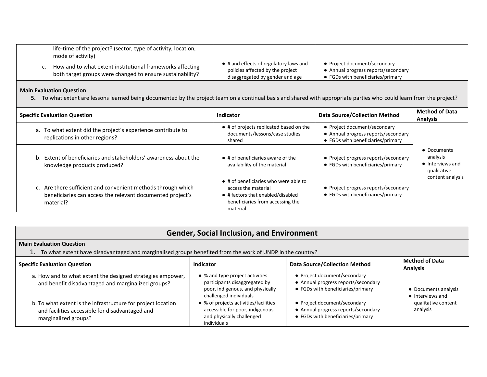| life-time of the project? (sector, type of activity, location,<br>mode of activity)                                    |                                                                                                               |                                                                                                          |
|------------------------------------------------------------------------------------------------------------------------|---------------------------------------------------------------------------------------------------------------|----------------------------------------------------------------------------------------------------------|
| How and to what extent institutional frameworks affecting<br>both target groups were changed to ensure sustainability? | • # and effects of regulatory laws and<br>policies affected by the project<br>disaggregated by gender and age | • Project document/secondary<br>• Annual progress reports/secondary<br>• FGDs with beneficiaries/primary |

**5.** To what extent are lessons learned being documented by the project team on a continual basis and shared with appropriate parties who could learn from the project?

| <b>Specific Evaluation Question</b>                                                                                                     | Indicator                                                                                                                                                 | <b>Data Source/Collection Method</b>                                                                     | <b>Method of Data</b><br><b>Analysis</b>                                       |
|-----------------------------------------------------------------------------------------------------------------------------------------|-----------------------------------------------------------------------------------------------------------------------------------------------------------|----------------------------------------------------------------------------------------------------------|--------------------------------------------------------------------------------|
| a. To what extent did the project's experience contribute to<br>replications in other regions?                                          | • # of projects replicated based on the<br>documents/lessons/case studies<br>shared                                                                       | • Project document/secondary<br>• Annual progress reports/secondary<br>• FGDs with beneficiaries/primary |                                                                                |
| b. Extent of beneficiaries and stakeholders' awareness about the<br>knowledge products produced?                                        | $\bullet$ # of beneficiaries aware of the<br>availability of the material                                                                                 | • Project progress reports/secondary<br>• FGDs with beneficiaries/primary                                | • Documents<br>analysis<br>• Interviews and<br>qualitative<br>content analysis |
| c. Are there sufficient and convenient methods through which<br>beneficiaries can access the relevant documented project's<br>material? | $\bullet$ # of beneficiaries who were able to<br>access the material<br>• # factors that enabled/disabled<br>beneficiaries from accessing the<br>material | • Project progress reports/secondary<br>• FGDs with beneficiaries/primary                                |                                                                                |

#### **Gender, Social Inclusion, and Environment**

#### **Main Evaluation Question**

1. To what extent have disadvantaged and marginalised groups benefited from the work of UNDP in the country?

| <b>Specific Evaluation Question</b>                                                                                                     | Indicator                                                                                                                      | <b>Data Source/Collection Method</b>                                                                     | <b>Method of Data</b><br><b>Analysis</b> |
|-----------------------------------------------------------------------------------------------------------------------------------------|--------------------------------------------------------------------------------------------------------------------------------|----------------------------------------------------------------------------------------------------------|------------------------------------------|
| a. How and to what extent the designed strategies empower,<br>and benefit disadvantaged and marginalized groups?                        | • % and type project activities<br>participants disaggregated by<br>poor, indigenous, and physically<br>challenged individuals | • Project document/secondary<br>• Annual progress reports/secondary<br>• FGDs with beneficiaries/primary | • Documents analysis<br>• Interviews and |
| b. To what extent is the infrastructure for project location<br>and facilities accessible for disadvantaged and<br>marginalized groups? | • % of projects activities/facilities<br>accessible for poor, indigenous,<br>and physically challenged<br>individuals          | • Project document/secondary<br>• Annual progress reports/secondary<br>• FGDs with beneficiaries/primary | qualitative content<br>analysis          |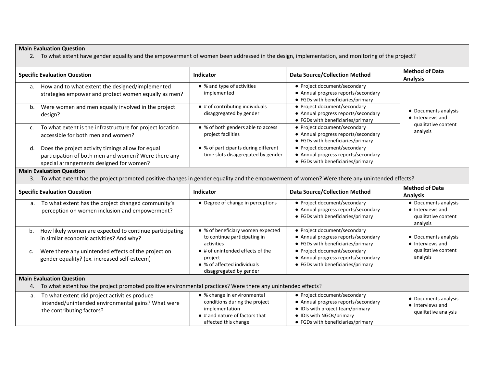2. To what extent have gender equality and the empowerment of women been addressed in the design, implementation, and monitoring of the project?

|                | <b>Specific Evaluation Question</b>                                                                                                                                                | Indicator                                                                                                                                        | <b>Data Source/Collection Method</b>                                                                                                                                     | <b>Method of Data</b><br><b>Analysis</b>                                    |
|----------------|------------------------------------------------------------------------------------------------------------------------------------------------------------------------------------|--------------------------------------------------------------------------------------------------------------------------------------------------|--------------------------------------------------------------------------------------------------------------------------------------------------------------------------|-----------------------------------------------------------------------------|
|                | a. How and to what extent the designed/implemented<br>strategies empower and protect women equally as men?                                                                         | • % and type of activities<br>implemented                                                                                                        | • Project document/secondary<br>• Annual progress reports/secondary<br>• FGDs with beneficiaries/primary                                                                 |                                                                             |
| b.             | Were women and men equally involved in the project<br>design?                                                                                                                      | $\bullet$ # of contributing individuals<br>disaggregated by gender                                                                               | • Project document/secondary<br>• Annual progress reports/secondary<br>• FGDs with beneficiaries/primary                                                                 | • Documents analysis<br>• Interviews and                                    |
| C.             | To what extent is the infrastructure for project location<br>accessible for both men and women?                                                                                    | • % of both genders able to access<br>project facilities                                                                                         | • Project document/secondary<br>• Annual progress reports/secondary<br>• FGDs with beneficiaries/primary                                                                 | qualitative content<br>analysis                                             |
| d.             | Does the project activity timings allow for equal<br>participation of both men and women? Were there any<br>special arrangements designed for women?                               | • % of participants during different<br>time slots disaggregated by gender                                                                       | • Project document/secondary<br>• Annual progress reports/secondary<br>• FGDs with beneficiaries/primary                                                                 |                                                                             |
|                | <b>Main Evaluation Question</b><br>3. To what extent has the project promoted positive changes in gender equality and the empowerment of women? Were there any unintended effects? |                                                                                                                                                  |                                                                                                                                                                          |                                                                             |
|                | <b>Specific Evaluation Question</b>                                                                                                                                                | <b>Indicator</b>                                                                                                                                 | <b>Data Source/Collection Method</b>                                                                                                                                     | <b>Method of Data</b><br><b>Analysis</b>                                    |
| a.             | To what extent has the project changed community's<br>perception on women inclusion and empowerment?                                                                               | • Degree of change in perceptions                                                                                                                | • Project document/secondary<br>• Annual progress reports/secondary<br>• FGDs with beneficiaries/primary                                                                 | • Documents analysis<br>• Interviews and<br>qualitative content<br>analysis |
| b.             | How likely women are expected to continue participating<br>in similar economic activities? And why?                                                                                | • % of beneficiary women expected<br>to continue participating in<br>activities                                                                  | • Project document/secondary<br>• Annual progress reports/secondary<br>• FGDs with beneficiaries/primary                                                                 | • Documents analysis<br>• Interviews and                                    |
| $\mathsf{C}$ . | Were there any unintended effects of the project on<br>gender equality? (ex. increased self-esteem)                                                                                | • # of unintended effects of the<br>project<br>• % of affected individuals<br>disaggregated by gender                                            | • Project document/secondary<br>• Annual progress reports/secondary<br>• FGDs with beneficiaries/primary                                                                 | qualitative content<br>analysis                                             |
|                | <b>Main Evaluation Question</b><br>4. To what extent has the project promoted positive environmental practices? Were there any unintended effects?                                 |                                                                                                                                                  |                                                                                                                                                                          |                                                                             |
| a.             | To what extent did project activities produce<br>intended/unintended environmental gains? What were<br>the contributing factors?                                                   | • % change in environmental<br>conditions during the project<br>implementation<br>$\bullet$ # and nature of factors that<br>affected this change | • Project document/secondary<br>• Annual progress reports/secondary<br>• IDIs with project team/primary<br>• IDIs with NGOs/primary<br>• FGDs with beneficiaries/primary | • Documents analysis<br>• Interviews and<br>qualitative analysis            |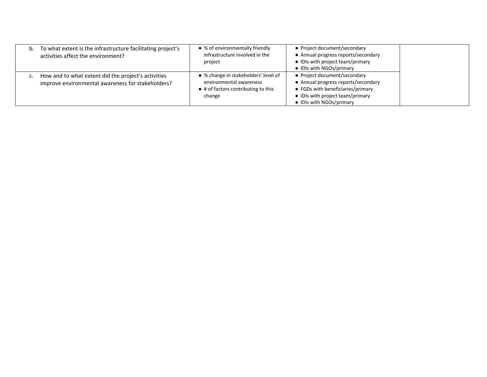| b. To what extent is the infrastructure facilitating project's<br>activities affect the environment?     | • % of environmentally friendly<br>infrastructure involved in the<br>project                                     | • Project document/secondary<br>• Annual progress reports/secondary<br>• IDIs with project team/primary<br>• IDIs with NGOs/primary                                      |  |
|----------------------------------------------------------------------------------------------------------|------------------------------------------------------------------------------------------------------------------|--------------------------------------------------------------------------------------------------------------------------------------------------------------------------|--|
| How and to what extent did the project's activities<br>improve environmental awareness for stakeholders? | • % change in stakeholders' level of<br>environmental awareness<br>• # of factors contributing to this<br>change | • Project document/secondary<br>• Annual progress reports/secondary<br>• FGDs with beneficiaries/primary<br>• IDIs with project team/primary<br>• IDIs with NGOs/primary |  |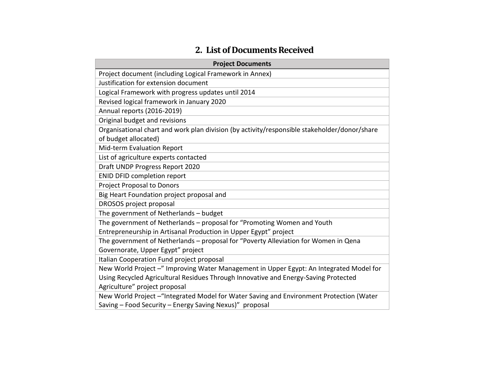# **2. List of Documents Received**

| <b>Project Documents</b>                                                                     |
|----------------------------------------------------------------------------------------------|
| Project document (including Logical Framework in Annex)                                      |
| Justification for extension document                                                         |
| Logical Framework with progress updates until 2014                                           |
| Revised logical framework in January 2020                                                    |
| Annual reports (2016-2019)                                                                   |
| Original budget and revisions                                                                |
| Organisational chart and work plan division (by activity/responsible stakeholder/donor/share |
| of budget allocated)                                                                         |
| Mid-term Evaluation Report                                                                   |
| List of agriculture experts contacted                                                        |
| Draft UNDP Progress Report 2020                                                              |
| <b>ENID DFID completion report</b>                                                           |
| <b>Project Proposal to Donors</b>                                                            |
| Big Heart Foundation project proposal and                                                    |
| DROSOS project proposal                                                                      |
| The government of Netherlands - budget                                                       |
| The government of Netherlands - proposal for "Promoting Women and Youth                      |
| Entrepreneurship in Artisanal Production in Upper Egypt" project                             |
| The government of Netherlands - proposal for "Poverty Alleviation for Women in Qena          |
| Governorate, Upper Egypt" project                                                            |
| Italian Cooperation Fund project proposal                                                    |
| New World Project -" Improving Water Management in Upper Egypt: An Integrated Model for      |
| Using Recycled Agricultural Residues Through Innovative and Energy-Saving Protected          |
| Agriculture" project proposal                                                                |
| New World Project - "Integrated Model for Water Saving and Environment Protection (Water     |
| Saving - Food Security - Energy Saving Nexus)" proposal                                      |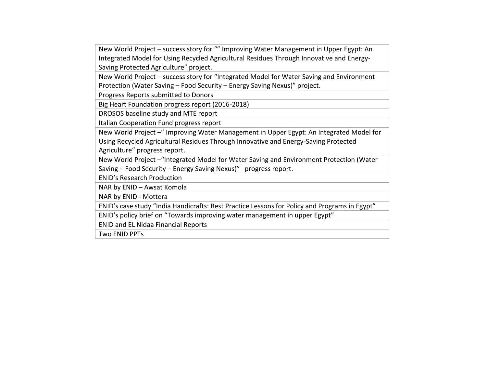New World Project – success story for "" Improving Water Management in Upper Egypt: An Integrated Model for Using Recycled Agricultural Residues Through Innovative and Energy-Saving Protected Agriculture" project.

New World Project – success story for "Integrated Model for Water Saving and Environment Protection (Water Saving – Food Security – Energy Saving Nexus)" project.

Progress Reports submitted to Donors

Big Heart Foundation progress report (2016-2018)

DROSOS baseline study and MTE report

Italian Cooperation Fund progress report

New World Project –" Improving Water Management in Upper Egypt: An Integrated Model for Using Recycled Agricultural Residues Through Innovative and Energy-Saving Protected Agriculture" progress report.

New World Project –"Integrated Model for Water Saving and Environment Protection (Water Saving – Food Security – Energy Saving Nexus)" progress report.

ENID's Research Production

NAR by ENID – Awsat Komola

NAR by ENID - Mottera

ENID's case study "India Handicrafts: Best Practice Lessons for Policy and Programs in Egypt"

ENID's policy brief on "Towards improving water management in upper Egypt"

ENID and EL Nidaa Financial Reports

Two ENID PPTs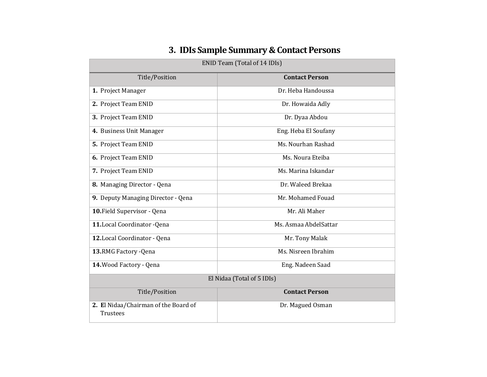| ENID Team (Total of 14 IDIs)                     |                       |  |
|--------------------------------------------------|-----------------------|--|
| Title/Position                                   | <b>Contact Person</b> |  |
| 1. Project Manager                               | Dr. Heba Handoussa    |  |
| 2. Project Team ENID                             | Dr. Howaida Adly      |  |
| 3. Project Team ENID                             | Dr. Dyaa Abdou        |  |
| 4. Business Unit Manager                         | Eng. Heba El Soufany  |  |
| 5. Project Team ENID                             | Ms. Nourhan Rashad    |  |
| 6. Project Team ENID                             | Ms. Noura Eteiba      |  |
| 7. Project Team ENID                             | Ms. Marina Iskandar   |  |
| 8. Managing Director - Qena                      | Dr. Waleed Brekaa     |  |
| 9. Deputy Managing Director - Qena               | Mr. Mohamed Fouad     |  |
| 10. Field Supervisor - Qena                      | Mr. Ali Maher         |  |
| 11. Local Coordinator - Qena                     | Ms. Asmaa AbdelSattar |  |
| 12. Local Coordinator - Qena                     | Mr. Tony Malak        |  |
| 13.RMG Factory - Qena                            | Ms. Nisreen Ibrahim   |  |
| 14. Wood Factory - Qena                          | Eng. Nadeen Saad      |  |
| El Nidaa (Total of 5 IDIs)                       |                       |  |
| Title/Position                                   | <b>Contact Person</b> |  |
| 2. El Nidaa/Chairman of the Board of<br>Trustees | Dr. Magued Osman      |  |

# **3. IDIs Sample Summary & Contact Persons**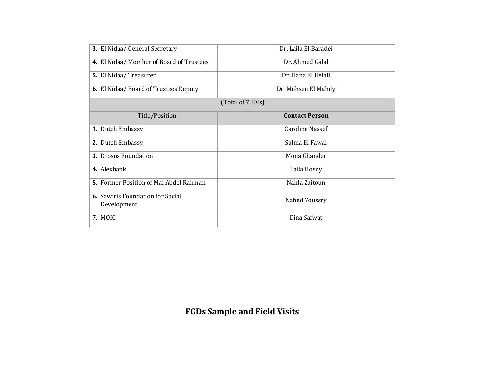| 3. El Nidaa/ General Secretary                         | Dr. Laila El Baradei   |
|--------------------------------------------------------|------------------------|
| 4. El Nidaa/ Member of Board of Trustees               | Dr. Ahmed Galal        |
| 5. El Nidaa/Treasurer                                  | Dr. Hana El Helali     |
| 6. El Nidaa/Board of Trustees Deputy                   | Dr. Mohsen El Mahdy    |
|                                                        | (Total of 7 IDIs)      |
| Title/Position                                         | <b>Contact Person</b>  |
| <b>1.</b> Dutch Embassy                                | <b>Caroline Nassef</b> |
| 2. Dutch Embassy                                       | Salma El Fawal         |
| 3. Drosos Foundation                                   | Mona Ghander           |
| 4. Alexbank                                            | Laila Hosny            |
| 5. Former Position of Mai Abdel Rahman                 | Nahla Zaitoun          |
| <b>6.</b> Sawiris Foundation for Social<br>Development | Nahed Youssry          |
| 7. MOIC                                                | Dina Safwat            |

# **FGDs Sample and Field Visits**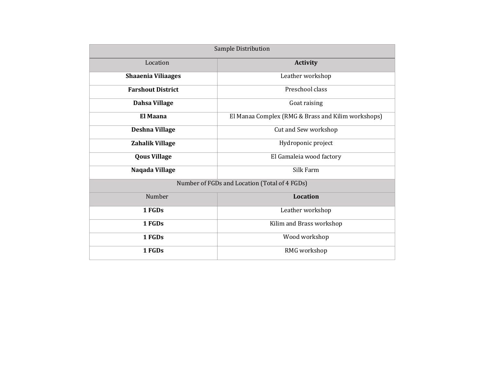| Sample Distribution       |                                                    |  |
|---------------------------|----------------------------------------------------|--|
| Location                  | <b>Activity</b>                                    |  |
| <b>Shaaenia Viliaages</b> | Leather workshop                                   |  |
| <b>Farshout District</b>  | Preschool class                                    |  |
| Dahsa Village             | Goat raising                                       |  |
| <b>El Maana</b>           | El Manaa Complex (RMG & Brass and Kilim workshops) |  |
| <b>Deshna Village</b>     | Cut and Sew workshop                               |  |
| Zahalik Village           | Hydroponic project                                 |  |
| <b>Qous Village</b>       | El Gamaleia wood factory                           |  |
| Naqada Village            | Silk Farm                                          |  |
|                           | Number of FGDs and Location (Total of 4 FGDs)      |  |
| Number                    | <b>Location</b>                                    |  |
| 1 FGDs                    | Leather workshop                                   |  |
| 1 FGDs                    | Kilim and Brass workshop                           |  |
| 1 FGDs                    | Wood workshop                                      |  |
| 1 FGDs                    | RMG workshop                                       |  |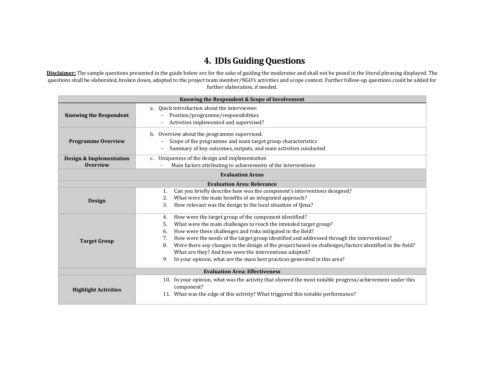# **4. IDIs Guiding Questions**

**Disclaimer:** The sample questions presented in the guide below are for the sake of guiding the moderator and shall not be posed in the literal phrasing displayed. The questions shall be elaborated, broken down, adapted to the project team member/NGO's activities and scope context. Further follow-up questions could be added for further elaboration, if needed.

| Knowing the Respondent & Scope of Involvement                                                                                                                                                                                           |                                                                                                                                                                                                                                                                                                                                                                                                                                                                                                                                                                                 |  |  |  |
|-----------------------------------------------------------------------------------------------------------------------------------------------------------------------------------------------------------------------------------------|---------------------------------------------------------------------------------------------------------------------------------------------------------------------------------------------------------------------------------------------------------------------------------------------------------------------------------------------------------------------------------------------------------------------------------------------------------------------------------------------------------------------------------------------------------------------------------|--|--|--|
| <b>Knowing the Respondent</b>                                                                                                                                                                                                           | a. Ouick introduction about the interviewee:<br>Position/programme/responsibilities<br>Activities implemented and supervised?                                                                                                                                                                                                                                                                                                                                                                                                                                                   |  |  |  |
| b. Overview about the programme supervised:<br>Scope of the programme and main target group characteristics<br><b>Programme Overview</b><br>Summary of key outcomes, outputs, and main activities conducted<br>$\overline{\phantom{a}}$ |                                                                                                                                                                                                                                                                                                                                                                                                                                                                                                                                                                                 |  |  |  |
| Uniqueness of the design and implementation<br><b>Design &amp; Implementation</b><br>C <sub>1</sub><br><b>Overview</b><br>Main factors attributing to achievements of the interventions                                                 |                                                                                                                                                                                                                                                                                                                                                                                                                                                                                                                                                                                 |  |  |  |
| <b>Evaluation Areas</b>                                                                                                                                                                                                                 |                                                                                                                                                                                                                                                                                                                                                                                                                                                                                                                                                                                 |  |  |  |
|                                                                                                                                                                                                                                         | <b>Evaluation Area: Relevance</b>                                                                                                                                                                                                                                                                                                                                                                                                                                                                                                                                               |  |  |  |
| <b>Design</b>                                                                                                                                                                                                                           | Can you briefly describe how was the component's interventions designed?<br>1.<br>What were the main benefits of an integrated approach?<br>2.<br>How relevant was the design to the local situation of Qena?<br>3.                                                                                                                                                                                                                                                                                                                                                             |  |  |  |
| <b>Target Group</b>                                                                                                                                                                                                                     | How were the target group of the component identified?<br>4.<br>What were the main challenges to reach the intended target group?<br>5.<br>How were these challenges and risks mitigated in the field?<br>6.<br>How were the needs of the target group identified and addressed through the interventions?<br>7.<br>Were there any changes in the design of the project based on challenges/factors identified in the field?<br>8.<br>What are they? And how were the interventions adapted?<br>In your opinion, what are the main best practices generated in this area?<br>9. |  |  |  |
| <b>Evaluation Area: Effectiveness</b>                                                                                                                                                                                                   |                                                                                                                                                                                                                                                                                                                                                                                                                                                                                                                                                                                 |  |  |  |
| <b>Highlight Activities</b>                                                                                                                                                                                                             | 10. In your opinion, what was the activity that showed the most notable progress/achievement under this<br>component?<br>11. What was the edge of this activity? What triggered this notable performance?                                                                                                                                                                                                                                                                                                                                                                       |  |  |  |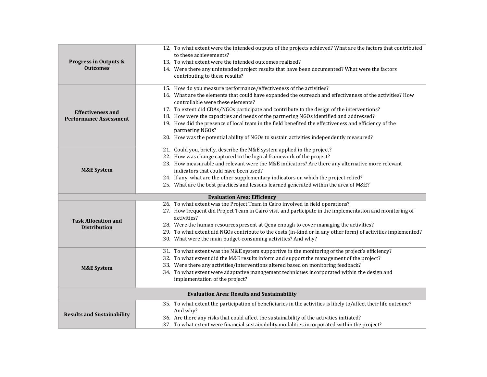| <b>Progress in Outputs &amp;</b><br><b>Outcomes</b>       | 12. To what extent were the intended outputs of the projects achieved? What are the factors that contributed<br>to these achievements?<br>13. To what extent were the intended outcomes realized?<br>14. Were there any unintended project results that have been documented? What were the factors<br>contributing to these results?                                                                                                                                                                                                                                                                                                |  |  |  |
|-----------------------------------------------------------|--------------------------------------------------------------------------------------------------------------------------------------------------------------------------------------------------------------------------------------------------------------------------------------------------------------------------------------------------------------------------------------------------------------------------------------------------------------------------------------------------------------------------------------------------------------------------------------------------------------------------------------|--|--|--|
| <b>Effectiveness and</b><br><b>Performance Assessment</b> | 15. How do you measure performance/effectiveness of the activities?<br>16. What are the elements that could have expanded the outreach and effectiveness of the activities? How<br>controllable were these elements?<br>17. To extent did CDAs/NGOs participate and contribute to the design of the interventions?<br>18. How were the capacities and needs of the partnering NGOs identified and addressed?<br>19. How did the presence of local team in the field benefited the effectiveness and efficiency of the<br>partnering NGOs?<br>20. How was the potential ability of NGOs to sustain activities independently measured? |  |  |  |
| <b>M&amp;E System</b>                                     | 21. Could you, briefly, describe the M&E system applied in the project?<br>22. How was change captured in the logical framework of the project?<br>23. How measurable and relevant were the M&E indicators? Are there any alternative more relevant<br>indicators that could have been used?<br>24. If any, what are the other supplementary indicators on which the project relied?<br>25. What are the best practices and lessons learned generated within the area of M&E?                                                                                                                                                        |  |  |  |
| <b>Evaluation Area: Efficiency</b>                        |                                                                                                                                                                                                                                                                                                                                                                                                                                                                                                                                                                                                                                      |  |  |  |
| <b>Task Allocation and</b><br><b>Distribution</b>         | 26. To what extent was the Project Team in Cairo involved in field operations?<br>27. How frequent did Project Team in Cairo visit and participate in the implementation and monitoring of<br>activities?<br>28. Were the human resources present at Qena enough to cover managing the activities?<br>29. To what extent did NGOs contribute to the costs (in-kind or in any other form) of activities implemented?<br>30. What were the main budget-consuming activities? And why?                                                                                                                                                  |  |  |  |
| <b>M&amp;E System</b>                                     | 31. To what extent was the M&E system supportive in the monitoring of the project's efficiency?<br>32. To what extent did the M&E results inform and support the management of the project?<br>33. Were there any activities/interventions altered based on monitoring feedback?<br>34. To what extent were adaptative management techniques incorporated within the design and<br>implementation of the project?                                                                                                                                                                                                                    |  |  |  |
| <b>Evaluation Area: Results and Sustainability</b>        |                                                                                                                                                                                                                                                                                                                                                                                                                                                                                                                                                                                                                                      |  |  |  |
| <b>Results and Sustainability</b>                         | 35. To what extent the participation of beneficiaries in the activities is likely to/affect their life outcome?<br>And why?<br>36. Are there any risks that could affect the sustainability of the activities initiated?<br>37. To what extent were financial sustainability modalities incorporated within the project?                                                                                                                                                                                                                                                                                                             |  |  |  |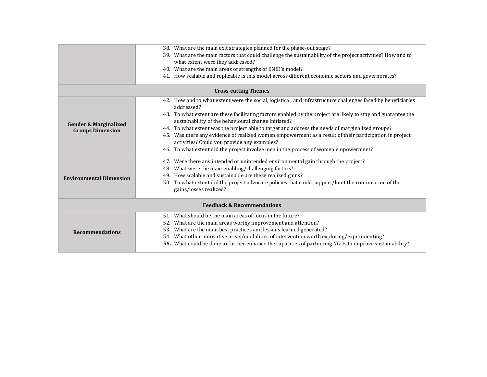|                                       | 38. What are the main exit strategies planned for the phase-out stage?                                                                                               |  |  |
|---------------------------------------|----------------------------------------------------------------------------------------------------------------------------------------------------------------------|--|--|
|                                       | 39. What are the main factors that could challenge the sustainability of the project activities? How and to                                                          |  |  |
|                                       | what extent were they addressed?                                                                                                                                     |  |  |
|                                       | 40. What are the main areas of strengths of ENID's model?                                                                                                            |  |  |
|                                       | 41. How scalable and replicable is this model across different economic sectors and governorates?                                                                    |  |  |
|                                       | <b>Cross-cutting Themes</b>                                                                                                                                          |  |  |
|                                       | 42. How and to what extent were the social, logistical, and infrastructure challenges faced by beneficiaries<br>addressed?                                           |  |  |
| <b>Gender &amp; Marginalized</b>      | 43. To what extent are these facilitating factors enabled by the project are likely to stay and guarantee the<br>sustainability of the behavioural change initiated? |  |  |
| <b>Groups Dimension</b>               | 44. To what extent was the project able to target and address the needs of marginalized groups?                                                                      |  |  |
|                                       | 45. Was there any evidence of realized women empowerment as a result of their participation in project                                                               |  |  |
|                                       | activities? Could you provide any examples?                                                                                                                          |  |  |
|                                       | 46. To what extent did the project involve men in the process of women empowerment?                                                                                  |  |  |
|                                       | 47. Were there any intended or unintended environmental gain through the project?                                                                                    |  |  |
|                                       | 48. What were the main enabling/challenging factors?                                                                                                                 |  |  |
| <b>Environmental Dimension</b>        | 49. How scalable and sustainable are these realized gains?                                                                                                           |  |  |
|                                       | 50. To what extent did the project advocate policies that could support/limit the continuation of the<br>gains/losses realized?                                      |  |  |
| <b>Feedback &amp; Recommendations</b> |                                                                                                                                                                      |  |  |
|                                       | 51. What should be the main areas of focus in the future?                                                                                                            |  |  |
|                                       | What are the main areas worthy improvement and attention?<br>52.                                                                                                     |  |  |
| <b>Recommendations</b>                | 53. What are the main best practices and lessons learned generated?                                                                                                  |  |  |
|                                       | 54. What other innovative areas/modalities of intervention worth exploring/experimenting?                                                                            |  |  |
|                                       | 55. What could be done to further enhance the capacities of partnering NGOs to improve sustainability?                                                               |  |  |
|                                       |                                                                                                                                                                      |  |  |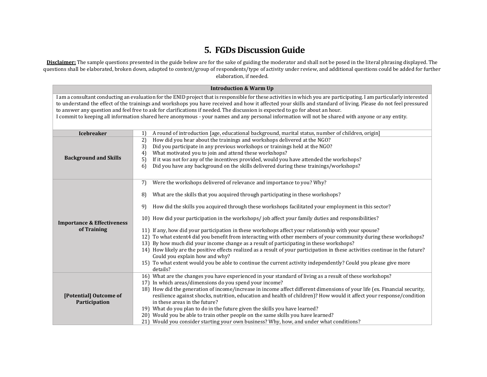### **5. FGDs Discussion Guide**

**Disclaimer:** The sample questions presented in the guide below are for the sake of guiding the moderator and shall not be posed in the literal phrasing displayed. The questions shall be elaborated, broken down, adapted to context/group of respondents/type of activity under review, and additional questions could be added for further elaboration, if needed.

| <b>Introduction &amp; Warm Up</b>                                                                                                                                                                                                                                                                                                                                                                                                                                                                                                                                                                                             |                                                                                                                                                                                                                                                                                                                                                                                                                                                                                                                                                                                                                                                                                                                                                                                                                                                                                                                                                                                                                     |  |  |
|-------------------------------------------------------------------------------------------------------------------------------------------------------------------------------------------------------------------------------------------------------------------------------------------------------------------------------------------------------------------------------------------------------------------------------------------------------------------------------------------------------------------------------------------------------------------------------------------------------------------------------|---------------------------------------------------------------------------------------------------------------------------------------------------------------------------------------------------------------------------------------------------------------------------------------------------------------------------------------------------------------------------------------------------------------------------------------------------------------------------------------------------------------------------------------------------------------------------------------------------------------------------------------------------------------------------------------------------------------------------------------------------------------------------------------------------------------------------------------------------------------------------------------------------------------------------------------------------------------------------------------------------------------------|--|--|
| I am a consultant conducting an evaluation for the ENID project that is responsible for these activities in which you are participating. I am particularly interested<br>to understand the effect of the trainings and workshops you have received and how it affected your skills and standard of living. Please do not feel pressured<br>to answer any question and feel free to ask for clarifications if needed. The discussion is expected to go for about an hour.<br>I commit to keeping all information shared here anonymous - your names and any personal information will not be shared with anyone or any entity. |                                                                                                                                                                                                                                                                                                                                                                                                                                                                                                                                                                                                                                                                                                                                                                                                                                                                                                                                                                                                                     |  |  |
| <b>Icebreaker</b><br>A round of introduction [age, educational background, marital status, number of children, origin]<br>1)                                                                                                                                                                                                                                                                                                                                                                                                                                                                                                  |                                                                                                                                                                                                                                                                                                                                                                                                                                                                                                                                                                                                                                                                                                                                                                                                                                                                                                                                                                                                                     |  |  |
| <b>Background and Skills</b>                                                                                                                                                                                                                                                                                                                                                                                                                                                                                                                                                                                                  | How did you hear about the trainings and workshops delivered at the NGO?<br>2)<br>Did you participate in any previous workshops or trainings held at the NGO?<br>3)<br>What motivated you to join and attend these workshops?<br>4)<br>If it was not for any of the incentives provided, would you have attended the workshops?<br>5)<br>Did you have any background on the skills delivered during these trainings/workshops?<br>6)                                                                                                                                                                                                                                                                                                                                                                                                                                                                                                                                                                                |  |  |
| <b>Importance &amp; Effectiveness</b><br>of Training                                                                                                                                                                                                                                                                                                                                                                                                                                                                                                                                                                          | Were the workshops delivered of relevance and importance to you? Why?<br>7)<br>What are the skills that you acquired through participating in these workshops?<br>8)<br>How did the skills you acquired through these workshops facilitated your employment in this sector?<br>9)<br>10) How did your participation in the workshops/job affect your family duties and responsibilities?<br>11) If any, how did your participation in these workshops affect your relationship with your spouse?<br>12) To what extent4 did you benefit from interacting with other members of your community during these workshops?<br>13) By how much did your income change as a result of participating in these workshops?<br>14) How likely are the positive effects realized as a result of your participation in these activities continue in the future?<br>Could you explain how and why?<br>15) To what extent would you be able to continue the current activity independently? Could you please give more<br>details? |  |  |
| [Potential] Outcome of<br>Participation                                                                                                                                                                                                                                                                                                                                                                                                                                                                                                                                                                                       | 16) What are the changes you have experienced in your standard of living as a result of these workshops?<br>17) In which areas/dimensions do you spend your income?<br>18) How did the generation of income/increase in income affect different dimensions of your life (ex. Financial security,<br>resilience against shocks, nutrition, education and health of children)? How would it affect your response/condition<br>in these areas in the future?<br>19) What do you plan to do in the future given the skills you have learned?<br>20) Would you be able to train other people on the same skills you have learned?<br>21) Would you consider starting your own business? Why, how, and under what conditions?                                                                                                                                                                                                                                                                                             |  |  |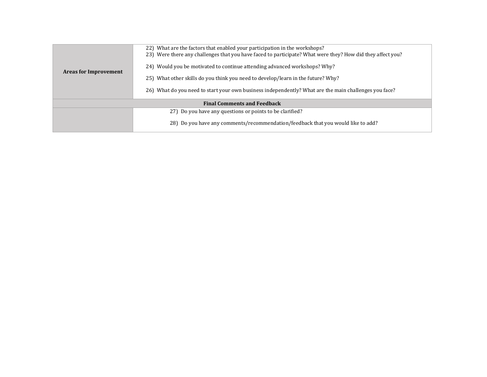| <b>Areas for Improvement</b>       | 22) What are the factors that enabled your participation in the workshops?<br>23) Were there any challenges that you have faced to participate? What were they? How did they affect you?<br>24) Would you be motivated to continue attending advanced workshops? Why?<br>25) What other skills do you think you need to develop/learn in the future? Why?<br>26) What do you need to start your own business independently? What are the main challenges you face? |  |  |  |
|------------------------------------|--------------------------------------------------------------------------------------------------------------------------------------------------------------------------------------------------------------------------------------------------------------------------------------------------------------------------------------------------------------------------------------------------------------------------------------------------------------------|--|--|--|
| <b>Final Comments and Feedback</b> |                                                                                                                                                                                                                                                                                                                                                                                                                                                                    |  |  |  |
|                                    | 27) Do you have any questions or points to be clarified?                                                                                                                                                                                                                                                                                                                                                                                                           |  |  |  |
|                                    | 28) Do you have any comments/recommendation/feedback that you would like to add?                                                                                                                                                                                                                                                                                                                                                                                   |  |  |  |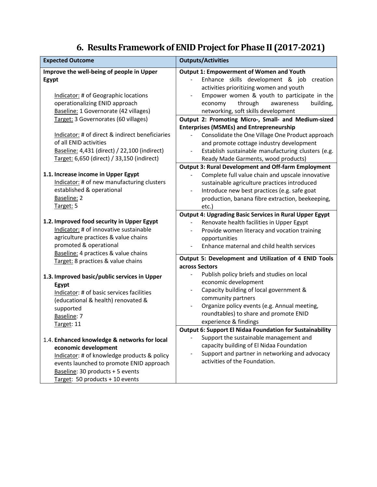# **6. Results Framework of ENID Project for Phase II (2017-2021)**

| <b>Expected Outcome</b>                                                                                                                                                                                                                | <b>Outputs/Activities</b>                                                                                                                                                                                                                                                   |  |  |
|----------------------------------------------------------------------------------------------------------------------------------------------------------------------------------------------------------------------------------------|-----------------------------------------------------------------------------------------------------------------------------------------------------------------------------------------------------------------------------------------------------------------------------|--|--|
| Improve the well-being of people in Upper<br>Egypt                                                                                                                                                                                     | <b>Output 1: Empowerment of Women and Youth</b><br>Enhance skills development & job creation<br>activities prioritizing women and youth                                                                                                                                     |  |  |
| Indicator: # of Geographic locations<br>operationalizing ENID approach<br>Baseline: 1 Governorate (42 villages)                                                                                                                        | Empower women & youth to participate in the<br>economy<br>through<br>awareness<br>building,<br>networking, soft skills development                                                                                                                                          |  |  |
| Target: 3 Governorates (60 villages)                                                                                                                                                                                                   | Output 2: Promoting Micro-, Small- and Medium-sized<br><b>Enterprises (MSMEs) and Entrepreneurship</b>                                                                                                                                                                      |  |  |
| Indicator: # of direct & indirect beneficiaries<br>of all ENID activities<br>Baseline: 4,431 (direct) / 22,100 (indirect)<br>Target: 6,650 (direct) / 33,150 (indirect)                                                                | Consolidate the One Village One Product approach<br>and promote cottage industry development<br>Establish sustainable manufacturing clusters (e.g.<br>$\blacksquare$<br>Ready Made Garments, wood products)                                                                 |  |  |
| 1.1. Increase income in Upper Egypt<br>Indicator: # of new manufacturing clusters<br>established & operational<br>Baseline: 2<br>Target: 5                                                                                             | <b>Output 3: Rural Development and Off-farm Employment</b><br>Complete full value chain and upscale innovative<br>sustainable agriculture practices introduced<br>Introduce new best practices (e.g. safe goat<br>production, banana fibre extraction, beekeeping,<br>etc.) |  |  |
| 1.2. Improved food security in Upper Egypt<br>Indicator: # of innovative sustainable<br>agriculture practices & value chains<br>promoted & operational                                                                                 | <b>Output 4: Upgrading Basic Services in Rural Upper Egypt</b><br>Renovate health facilities in Upper Egypt<br>Provide women literacy and vocation training<br>opportunities<br>Enhance maternal and child health services                                                  |  |  |
| Baseline: 4 practices & value chains<br>Target: 8 practices & value chains                                                                                                                                                             | Output 5: Development and Utilization of 4 ENID Tools<br>across Sectors<br>Publish policy briefs and studies on local<br>$\blacksquare$                                                                                                                                     |  |  |
| 1.3. Improved basic/public services in Upper<br>Egypt<br>Indicator: # of basic services facilities<br>(educational & health) renovated &<br>supported<br>Baseline: 7<br>Target: 11                                                     | economic development<br>Capacity building of local government &<br>community partners<br>Organize policy events (e.g. Annual meeting,<br>roundtables) to share and promote ENID<br>experience & findings                                                                    |  |  |
| 1.4. Enhanced knowledge & networks for local<br>economic development<br>Indicator: # of knowledge products & policy<br>events launched to promote ENID approach<br>Baseline: 30 products + 5 events<br>Target: 50 products + 10 events | <b>Output 6: Support El Nidaa Foundation for Sustainability</b><br>Support the sustainable management and<br>capacity building of El Nidaa Foundation<br>Support and partner in networking and advocacy<br>activities of the Foundation.                                    |  |  |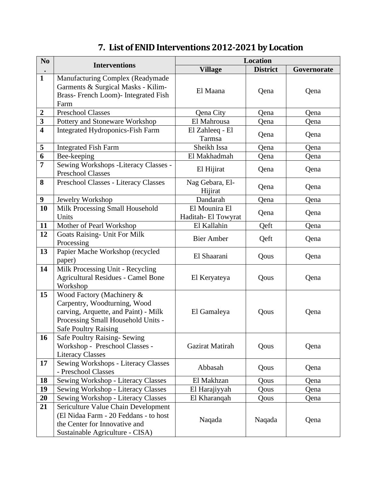# **7. List of ENID Interventions 2012-2021 by Location**

| N <sub>0</sub>          |                                            | <b>Location</b>            |                 |             |
|-------------------------|--------------------------------------------|----------------------------|-----------------|-------------|
|                         | <b>Interventions</b>                       | <b>Village</b>             | <b>District</b> | Governorate |
| $\mathbf{1}$            | Manufacturing Complex (Readymade           |                            |                 |             |
|                         | Garments & Surgical Masks - Kilim-         | El Maana                   | Qena            | Qena        |
|                         | Brass-French Loom)- Integrated Fish        |                            |                 |             |
|                         | Farm                                       |                            |                 |             |
| $\boldsymbol{2}$        | <b>Preschool Classes</b>                   | Qena City                  | Qena            | Qena        |
| $\overline{\mathbf{3}}$ | Pottery and Stoneware Workshop             | El Mahrousa                | Qena            | Qena        |
| $\overline{\mathbf{4}}$ | <b>Integrated Hydroponics-Fish Farm</b>    | El Zahleeq - El<br>Tarmsa  | Qena            | Qena        |
| 5                       | <b>Integrated Fish Farm</b>                | Sheikh Issa                | Qena            | Qena        |
| 6                       | Bee-keeping                                | El Makhadmah               | Qena            | Qena        |
| $\overline{7}$          | Sewing Workshops -Literacy Classes -       |                            |                 |             |
|                         | <b>Preschool Classes</b>                   | El Hijirat                 | Qena            | Qena        |
| 8                       | Preschool Classes - Literacy Classes       | Nag Gebara, El-<br>Hijirat | Qena            | Qena        |
| $\boldsymbol{9}$        | Jewelry Workshop                           | Dandarah                   | Qena            | Qena        |
| 10                      | Milk Processing Small Household            | El Mounira El              |                 |             |
|                         | Units                                      | Haditah-El Towyrat         | Qena            | Qena        |
| 11                      | Mother of Pearl Workshop                   | El Kallahin                | Qeft            | Qena        |
| 12                      | <b>Goats Raising- Unit For Milk</b>        | <b>Bier Amber</b>          | Qeft            | Qena        |
|                         | Processing                                 |                            |                 |             |
| 13                      | Papier Mache Workshop (recycled            | El Shaarani                | Qous            | Qena        |
| 14                      | paper)<br>Milk Processing Unit - Recycling |                            |                 |             |
|                         | <b>Agricultural Residues - Camel Bone</b>  | El Keryateya               | Qous            | Qena        |
|                         | Workshop                                   |                            |                 |             |
| 15                      | Wood Factory (Machinery &                  |                            |                 |             |
|                         | Carpentry, Woodturning, Wood               |                            |                 |             |
|                         | carving, Arquette, and Paint) - Milk       | El Gamaleya                | Qous            | Qena        |
|                         | Processing Small Household Units -         |                            |                 |             |
|                         | <b>Safe Poultry Raising</b>                |                            |                 |             |
| 16                      | <b>Safe Poultry Raising-Sewing</b>         |                            |                 |             |
|                         | Workshop - Preschool Classes -             | Gazirat Matirah            | Qous            | Qena        |
|                         | <b>Literacy Classes</b>                    |                            |                 |             |
| 17                      | Sewing Workshops - Literacy Classes        | Abbasah                    | Qous            | Qena        |
|                         | - Preschool Classes                        |                            |                 |             |
| 18                      | Sewing Workshop - Literacy Classes         | El Makhzan                 | Qous            | Qena        |
| 19                      | Sewing Workshop - Literacy Classes         | El Harajiyyah              | Qous            | Qena        |
| 20                      | Sewing Workshop - Literacy Classes         | El Kharanqah               | Qous            | Qena        |
| 21                      | Sericulture Value Chain Development        |                            |                 |             |
|                         | (El Nidaa Farm - 20 Feddans - to host      | Naqada                     | Naqada          | Qena        |
|                         | the Center for Innovative and              |                            |                 |             |
|                         | Sustainable Agriculture - CISA)            |                            |                 |             |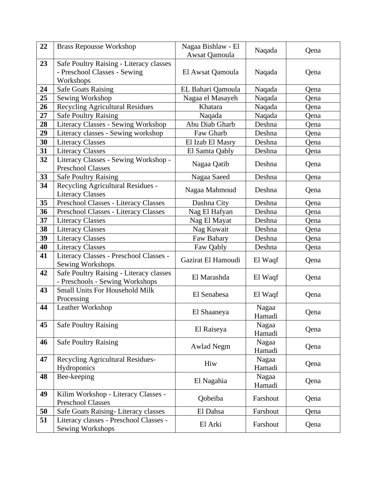| 22 | <b>Brass Repousse Workshop</b>                                                       | Nagaa Bishlaw - El<br>Awsat Qamoula | Naqada          | Qena |
|----|--------------------------------------------------------------------------------------|-------------------------------------|-----------------|------|
| 23 | Safe Poultry Raising - Literacy classes<br>- Preschool Classes - Sewing<br>Workshops | El Awsat Qamoula                    | Naqada          | Qena |
| 24 | <b>Safe Goats Raising</b>                                                            | EL Bahari Qamoula                   | Naqada          | Qena |
| 25 | Sewing Workshop                                                                      | Nagaa el Masayeh                    | Naqada          | Qena |
| 26 | <b>Recycling Agricultural Residues</b>                                               | Khatara                             | Naqada          | Qena |
| 27 | <b>Safe Poultry Raising</b>                                                          | Naqada                              | Naqada          | Qena |
| 28 | Literacy Classes - Sewing Workshop                                                   | Abu Diab Gharb                      | Deshna          | Qena |
| 29 | Literacy classes - Sewing workshop                                                   | Faw Gharb                           | Deshna          | Qena |
| 30 | <b>Literacy Classes</b>                                                              | El Izab El Masry                    | Deshna          | Qena |
| 31 | <b>Literacy Classes</b>                                                              | El Samta Qably                      | Deshna          | Qena |
| 32 | Literacy Classes - Sewing Workshop -<br><b>Preschool Classes</b>                     | Nagaa Qatib                         | Deshna          | Qena |
| 33 | <b>Safe Poultry Raising</b>                                                          | Nagaa Saeed                         | Deshna          | Qena |
| 34 | Recycling Agricultural Residues -<br><b>Literacy Classes</b>                         | Nagaa Mahmoud                       | Deshna          | Qena |
| 35 | Preschool Classes - Literacy Classes                                                 | Dashna City                         | Deshna          | Qena |
| 36 | Preschool Classes - Literacy Classes                                                 | Nag El Hafyan                       | Deshna          | Qena |
| 37 | <b>Literacy Classes</b>                                                              | Nag El Mayat                        | Deshna          | Qena |
| 38 | <b>Literacy Classes</b>                                                              | Nag Kuwait                          | Deshna          | Qena |
| 39 | <b>Literacy Classes</b>                                                              | Faw Bahary                          | Deshna          | Qena |
| 40 | <b>Literacy Classes</b>                                                              | Faw Qably                           | Deshna          | Qena |
| 41 | Literacy Classes - Preschool Classes -<br>Sewing Workshops                           | Gazirat El Hamoudi                  | El Waqf         | Qena |
| 42 | Safe Poultry Raising - Literacy classes<br>- Preschools - Sewing Workshops           | El Marashda                         | El Waqf         | Qena |
| 43 | <b>Small Units For Household Milk</b><br>Processing                                  | El Senabesa                         | El Waqf         | Qena |
| 44 | Leather Workshop                                                                     | El Shaaneya                         | Nagaa<br>Hamadi | Qena |
| 45 | <b>Safe Poultry Raising</b>                                                          | El Raiseya                          | Nagaa<br>Hamadi | Qena |
| 46 | <b>Safe Poultry Raising</b>                                                          | <b>Awlad Negm</b>                   | Nagaa<br>Hamadi | Qena |
| 47 | <b>Recycling Agricultural Residues-</b><br>Hydroponics                               | Hiw                                 | Nagaa<br>Hamadi | Qena |
| 48 | Bee-keeping                                                                          | El Nagahia                          | Nagaa<br>Hamadi | Qena |
| 49 | Kilim Workshop - Literacy Classes -<br><b>Preschool Classes</b>                      | Qobeiba                             | Farshout        | Qena |
| 50 | Safe Goats Raising-Literacy classes                                                  | El Dahsa                            | Farshout        | Qena |
| 51 | Literacy classes - Preschool Classes -<br>Sewing Workshops                           | El Arki                             | Farshout        | Qena |